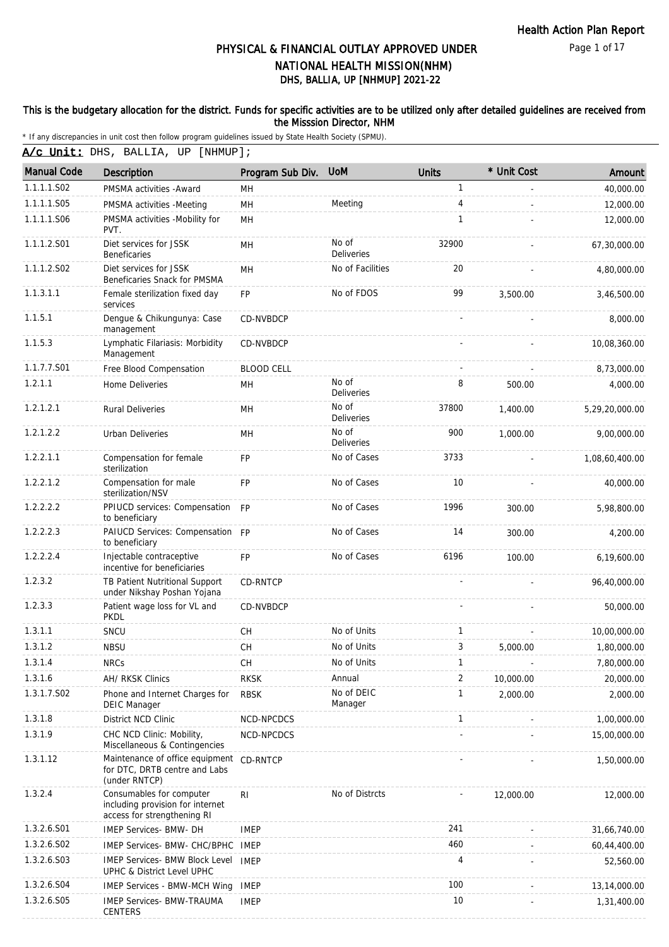### This is the budgetary allocation for the district. Funds for specific activities are to be utilized only after detailed guidelines are received from the Misssion Director, NHM

| A/c Unit: DHS, BALLIA, UP [NHMUP]; |  |  |  |
|------------------------------------|--|--|--|
|------------------------------------|--|--|--|

| <b>Manual Code</b> | <b>Description</b>                                                                          | Program Sub Div.  | <b>UoM</b>                 | <b>Units</b> | * Unit Cost | Amount         |
|--------------------|---------------------------------------------------------------------------------------------|-------------------|----------------------------|--------------|-------------|----------------|
| 1.1.1.1.S02        | PMSMA activities - Award                                                                    | MН                |                            | 1            |             | 40,000.00      |
| 1.1.1.1.S05        | PMSMA activities -Meeting                                                                   | MH                | Meeting                    | 4            |             | 12,000.00      |
| 1.1.1.1.S06        | PMSMA activities -Mobility for<br>PVT.                                                      | MH                |                            | $\mathbf{1}$ |             | 12,000.00      |
| 1.1.1.2.S01        | Diet services for JSSK<br><b>Beneficaries</b>                                               | MH                | No of<br>Deliveries        | 32900        |             | 67,30,000.00   |
| 1.1.1.2.S02        | Diet services for JSSK<br>Beneficaries Snack for PMSMA                                      | MH                | No of Facilities           | 20           |             | 4,80,000.00    |
| 1.1.3.1.1          | Female sterilization fixed day<br>services                                                  | <b>FP</b>         | No of FDOS                 | 99           | 3,500.00    | 3,46,500.00    |
| 1.1.5.1            | Dengue & Chikungunya: Case<br>management                                                    | CD-NVBDCP         |                            |              |             | 8,000.00       |
| 1.1.5.3            | Lymphatic Filariasis: Morbidity<br>Management                                               | CD-NVBDCP         |                            |              |             | 10,08,360.00   |
| 1.1.7.7.S01        | Free Blood Compensation                                                                     | <b>BLOOD CELL</b> |                            |              |             | 8,73,000.00    |
| 1.2.1.1            | Home Deliveries                                                                             | MН                | No of<br>Deliveries        | 8            | 500.00      | 4,000.00       |
| 1.2.1.2.1          | <b>Rural Deliveries</b>                                                                     | MH                | No of<br>Deliveries        | 37800        | 1,400.00    | 5,29,20,000.00 |
| 1.2.1.2.2          | Urban Deliveries                                                                            | <b>MH</b>         | No of<br><b>Deliveries</b> | 900          | 1,000.00    | 9,00,000.00    |
| 1.2.2.1.1          | Compensation for female<br>sterilization                                                    | FP                | No of Cases                | 3733         |             | 1,08,60,400.00 |
| 1.2.2.1.2          | Compensation for male<br>sterilization/NSV                                                  | <b>FP</b>         | No of Cases                | 10           |             | 40,000.00      |
| 1.2.2.2.2          | PPIUCD services: Compensation FP<br>to beneficiary                                          |                   | No of Cases                | 1996         | 300.00      | 5,98,800.00    |
| 1.2.2.2.3          | PAIUCD Services: Compensation FP<br>to beneficiary                                          |                   | No of Cases                | 14           | 300.00      | 4,200.00       |
| 1.2.2.2.4          | Injectable contraceptive<br>incentive for beneficiaries                                     | <b>FP</b>         | No of Cases                | 6196         | 100.00      | 6,19,600.00    |
| 1.2.3.2            | TB Patient Nutritional Support<br>under Nikshay Poshan Yojana                               | <b>CD-RNTCP</b>   |                            |              |             | 96,40,000.00   |
| 1.2.3.3            | Patient wage loss for VL and<br><b>PKDL</b>                                                 | CD-NVBDCP         |                            |              |             | 50,000.00      |
| 1.3.1.1            | SNCU                                                                                        | <b>CH</b>         | No of Units                | 1            |             | 10,00,000.00   |
| 1.3.1.2            | <b>NBSU</b>                                                                                 | <b>CH</b>         | No of Units                | 3            | 5,000.00    | 1,80,000.00    |
| 1.3.1.4            | <b>NRCs</b>                                                                                 | <b>CH</b>         | No of Units                | 1            |             | 7,80,000.00    |
| 1.3.1.6            | AH/ RKSK Clinics                                                                            | <b>RKSK</b>       | Annual                     | 2            | 10,000.00   | 20,000.00      |
| 1.3.1.7.S02        | Phone and Internet Charges for<br><b>DEIC Manager</b>                                       | <b>RBSK</b>       | No of DEIC<br>Manager      | 1            | 2,000.00    | 2,000.00       |
| 1.3.1.8            | District NCD Clinic                                                                         | NCD-NPCDCS        |                            | 1            |             | 1,00,000.00    |
| 1.3.1.9            | CHC NCD Clinic: Mobility,<br>Miscellaneous & Contingencies                                  | NCD-NPCDCS        |                            |              |             | 15,00,000.00   |
| 1.3.1.12           | Maintenance of office equipment CD-RNTCP<br>for DTC, DRTB centre and Labs<br>(under RNTCP)  |                   |                            |              |             | 1,50,000.00    |
| 1.3.2.4            | Consumables for computer<br>including provision for internet<br>access for strengthening RI | <b>RI</b>         | No of Distrcts             |              | 12,000.00   | 12,000.00      |
| 1.3.2.6.S01        | IMEP Services- BMW- DH                                                                      | <b>IMEP</b>       |                            | 241          |             | 31,66,740.00   |
| 1.3.2.6.S02        | IMEP Services- BMW- CHC/BPHC                                                                | IMEP              |                            | 460          |             | 60,44,400.00   |
| 1.3.2.6.S03        | <b>IMEP Services- BMW Block Level</b><br>UPHC & District Level UPHC                         | <b>IMEP</b>       |                            | 4            |             | 52,560.00      |
| 1.3.2.6.S04        | <b>IMEP Services - BMW-MCH Wing</b>                                                         | <b>IMEP</b>       |                            | 100          |             | 13,14,000.00   |
| 1.3.2.6.S05        | <b>IMEP Services- BMW-TRAUMA</b><br>CENTERS                                                 | <b>IMEP</b>       |                            | 10           |             | 1,31,400.00    |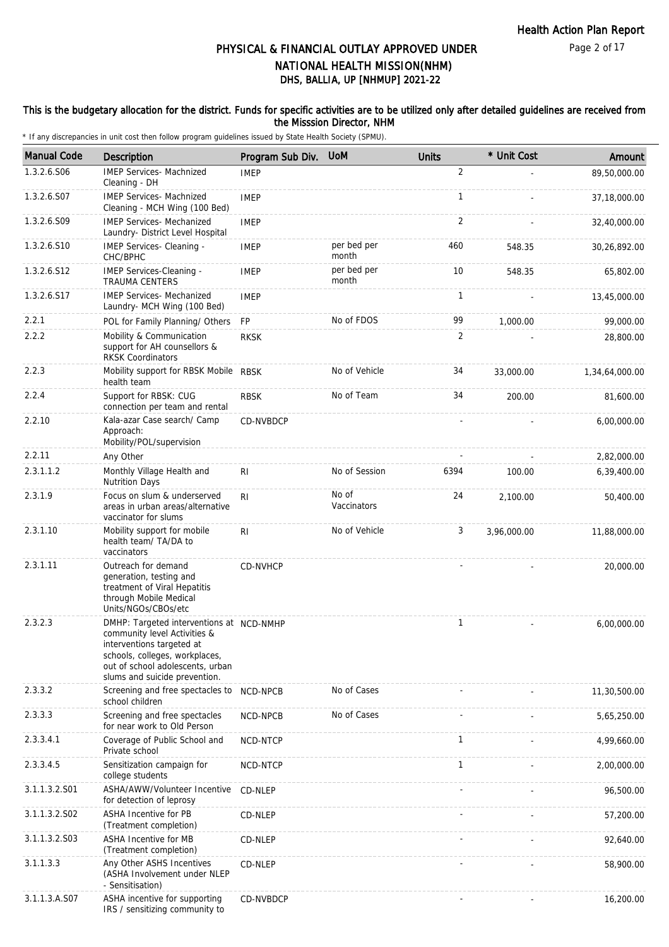### This is the budgetary allocation for the district. Funds for specific activities are to be utilized only after detailed guidelines are received from the Misssion Director, NHM

| <b>Manual Code</b> | <b>Description</b>                                                                                                                                                                                           | Program Sub Div. | <b>UoM</b>           | <b>Units</b> | * Unit Cost | Amount         |
|--------------------|--------------------------------------------------------------------------------------------------------------------------------------------------------------------------------------------------------------|------------------|----------------------|--------------|-------------|----------------|
| 1.3.2.6.S06        | <b>IMEP Services- Machnized</b><br>Cleaning - DH                                                                                                                                                             | <b>IMEP</b>      |                      | 2            |             | 89,50,000.00   |
| 1.3.2.6.S07        | <b>IMEP Services- Machnized</b><br>Cleaning - MCH Wing (100 Bed)                                                                                                                                             | <b>IMEP</b>      |                      | $\mathbf{1}$ |             | 37,18,000.00   |
| 1.3.2.6.S09        | <b>IMEP Services- Mechanized</b><br>Laundry- District Level Hospital                                                                                                                                         | <b>IMEP</b>      |                      | 2            |             | 32,40,000.00   |
| 1.3.2.6.S10        | IMEP Services- Cleaning -<br>CHC/BPHC                                                                                                                                                                        | <b>IMEP</b>      | per bed per<br>month | 460          | 548.35      | 30,26,892.00   |
| 1.3.2.6.S12        | IMEP Services-Cleaning -<br><b>TRAUMA CENTERS</b>                                                                                                                                                            | <b>IMEP</b>      | per bed per<br>month | 10           | 548.35      | 65,802.00      |
| 1.3.2.6.S17        | <b>IMEP Services- Mechanized</b><br>Laundry- MCH Wing (100 Bed)                                                                                                                                              | <b>IMEP</b>      |                      | 1            |             | 13,45,000.00   |
| 2.2.1              | POL for Family Planning/ Others                                                                                                                                                                              | FP               | No of FDOS           | 99           | 1,000.00    | 99,000.00      |
| 2.2.2              | Mobility & Communication<br>support for AH counsellors &<br><b>RKSK Coordinators</b>                                                                                                                         | <b>RKSK</b>      |                      | 2            |             | 28,800.00      |
| 2.2.3              | Mobility support for RBSK Mobile RBSK<br>health team                                                                                                                                                         |                  | No of Vehicle        | 34           | 33,000.00   | 1,34,64,000.00 |
| 2.2.4              | Support for RBSK: CUG<br>connection per team and rental                                                                                                                                                      | <b>RBSK</b>      | No of Team           | 34           | 200.00      | 81,600.00      |
| 2.2.10             | Kala-azar Case search/ Camp<br>Approach:<br>Mobility/POL/supervision                                                                                                                                         | CD-NVBDCP        |                      |              |             | 6,00,000.00    |
| 2.2.11             | Any Other                                                                                                                                                                                                    |                  |                      |              |             | 2,82,000.00    |
| 2.3.1.1.2          | Monthly Village Health and<br><b>Nutrition Days</b>                                                                                                                                                          | RI               | No of Session        | 6394         | 100.00      | 6,39,400.00    |
| 2.3.1.9            | Focus on slum & underserved<br>areas in urban areas/alternative<br>vaccinator for slums                                                                                                                      | R <sub>l</sub>   | No of<br>Vaccinators | 24           | 2,100.00    | 50,400.00      |
| 2.3.1.10           | Mobility support for mobile<br>health team/ TA/DA to<br>vaccinators                                                                                                                                          | R <sub>1</sub>   | No of Vehicle        | 3            | 3,96,000.00 | 11,88,000.00   |
| 2.3.1.11           | Outreach for demand<br>generation, testing and<br>treatment of Viral Hepatitis<br>through Mobile Medical<br>Units/NGOs/CBOs/etc                                                                              | CD-NVHCP         |                      |              |             | 20,000.00      |
| 2.3.2.3            | DMHP: Targeted interventions at NCD-NMHP<br>community level Activities &<br>interventions targeted at<br>schools, colleges, workplaces,<br>out of school adolescents, urban<br>slums and suicide prevention. |                  |                      | 1            |             | 6,00,000.00    |
| 2.3.3.2            | Screening and free spectacles to<br>school children                                                                                                                                                          | NCD-NPCB         | No of Cases          |              |             | 11,30,500.00   |
| 2.3.3.3            | Screening and free spectacles<br>for near work to Old Person                                                                                                                                                 | NCD-NPCB         | No of Cases          |              |             | 5,65,250.00    |
| 2.3.3.4.1          | Coverage of Public School and<br>Private school                                                                                                                                                              | NCD-NTCP         |                      | $\mathbf{1}$ |             | 4,99,660.00    |
| 2.3.3.4.5          | Sensitization campaign for<br>college students                                                                                                                                                               | NCD-NTCP         |                      | 1            |             | 2,00,000.00    |
| 3.1.1.3.2.S01      | ASHA/AWW/Volunteer Incentive<br>for detection of leprosy                                                                                                                                                     | CD-NLEP          |                      |              |             | 96,500.00      |
| 3.1.1.3.2.S02      | <b>ASHA Incentive for PB</b><br>(Treatment completion)                                                                                                                                                       | CD-NLEP          |                      |              |             | 57,200.00      |
| 3.1.1.3.2.S03      | ASHA Incentive for MB<br>(Treatment completion)                                                                                                                                                              | CD-NLEP          |                      |              |             | 92,640.00      |
| 3.1.1.3.3          | Any Other ASHS Incentives<br>(ASHA Involvement under NLEP<br>- Sensitisation)                                                                                                                                | CD-NLEP          |                      |              |             | 58,900.00      |
| 3.1.1.3.A.S07      | ASHA incentive for supporting<br>IRS / sensitizing community to                                                                                                                                              | CD-NVBDCP        |                      |              |             | 16,200.00      |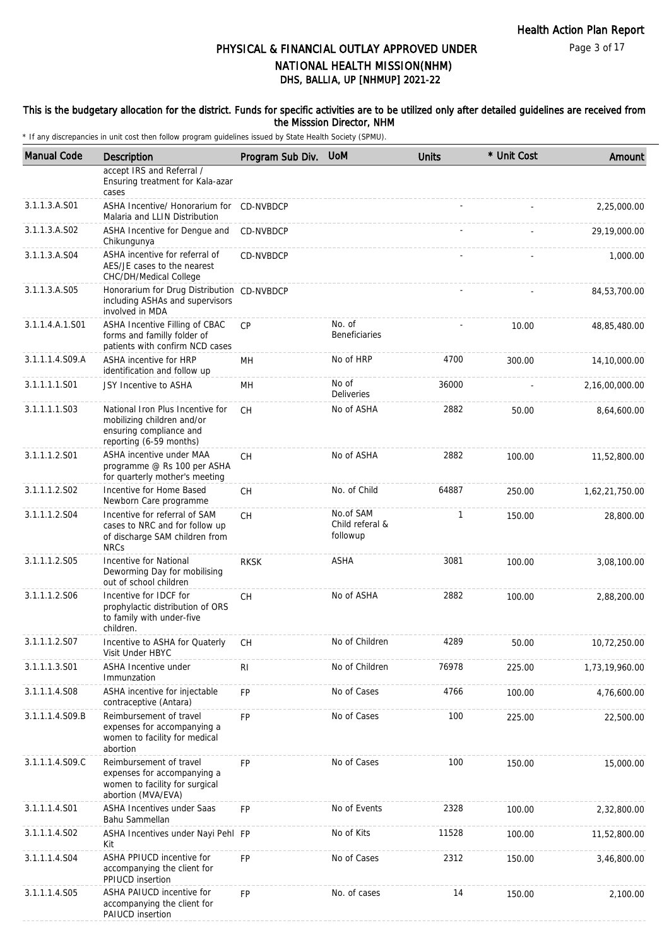### Page 3 of 17

# DHS, BALLIA, UP [NHMUP] 2021-22 PHYSICAL & FINANCIAL OUTLAY APPROVED UNDER NATIONAL HEALTH MISSION(NHM)

### This is the budgetary allocation for the district. Funds for specific activities are to be utilized only after detailed guidelines are received from the Misssion Director, NHM

| <b>Manual Code</b> | Description                                                                                                          | Program Sub Div. UoM |                                          | <b>Units</b> | * Unit Cost | Amount         |
|--------------------|----------------------------------------------------------------------------------------------------------------------|----------------------|------------------------------------------|--------------|-------------|----------------|
|                    | accept IRS and Referral /<br>Ensuring treatment for Kala-azar<br>cases                                               |                      |                                          |              |             |                |
| 3.1.1.3.A.S01      | ASHA Incentive/ Honorarium for<br>Malaria and LLIN Distribution                                                      | <b>CD-NVBDCP</b>     |                                          |              |             | 2,25,000.00    |
| 3.1.1.3.A.S02      | ASHA Incentive for Dengue and<br>Chikungunya                                                                         | <b>CD-NVBDCP</b>     |                                          |              |             | 29,19,000.00   |
| 3.1.1.3.A.S04      | ASHA incentive for referral of<br>AES/JE cases to the nearest<br>CHC/DH/Medical College                              | CD-NVBDCP            |                                          |              |             | 1,000.00       |
| 3.1.1.3.A.S05      | Honorarium for Drug Distribution<br>including ASHAs and supervisors<br>involved in MDA                               | CD-NVBDCP            |                                          |              |             | 84,53,700.00   |
| 3.1.1.4.A.1.S01    | ASHA Incentive Filling of CBAC<br>forms and familly folder of<br>patients with confirm NCD cases                     | CP                   | No. of<br><b>Beneficiaries</b>           |              | 10.00       | 48,85,480.00   |
| 3.1.1.1.4.S09.A    | ASHA incentive for HRP<br>identification and follow up                                                               | MН                   | No of HRP                                | 4700         | 300.00      | 14,10,000.00   |
| 3.1.1.1.1.S01      | JSY Incentive to ASHA                                                                                                | MH                   | No of<br>Deliveries                      | 36000        |             | 2,16,00,000.00 |
| 3.1.1.1.1.S03      | National Iron Plus Incentive for<br>mobilizing children and/or<br>ensuring compliance and<br>reporting (6-59 months) | <b>CH</b>            | No of ASHA                               | 2882         | 50.00       | 8,64,600.00    |
| 3.1.1.1.2.S01      | ASHA incentive under MAA<br>programme @ Rs 100 per ASHA<br>for quarterly mother's meeting                            | CH                   | No of ASHA                               | 2882         | 100.00      | 11,52,800.00   |
| 3.1.1.1.2.S02      | Incentive for Home Based<br>Newborn Care programme                                                                   | <b>CH</b>            | No. of Child                             | 64887        | 250.00      | 1,62,21,750.00 |
| 3.1.1.1.2.S04      | Incentive for referral of SAM<br>cases to NRC and for follow up<br>of discharge SAM children from<br><b>NRCs</b>     | <b>CH</b>            | No.of SAM<br>Child referal &<br>followup | $\mathbf{1}$ | 150.00      | 28,800.00      |
| 3.1.1.1.2.S05      | Incentive for National<br>Deworming Day for mobilising<br>out of school children                                     | <b>RKSK</b>          | ASHA                                     | 3081         | 100.00      | 3,08,100.00    |
| 3.1.1.1.2.S06      | Incentive for IDCF for<br>prophylactic distribution of ORS<br>to family with under-five<br>children.                 | СH                   | No of ASHA                               | 2882         | 100.00      | 2,88,200.00    |
| 3.1.1.1.2.S07      | Incentive to ASHA for Quaterly<br>Visit Under HBYC                                                                   | CН                   | No of Children                           | 4289         | 50.00       | 10,72,250.00   |
| 3.1.1.1.3.S01      | ASHA Incentive under<br>Immunzation                                                                                  | RI                   | No of Children                           | 76978        | 225.00      | 1,73,19,960.00 |
| 3.1.1.1.4.S08      | ASHA incentive for injectable<br>contraceptive (Antara)                                                              | FP                   | No of Cases                              | 4766         | 100.00      | 4,76,600.00    |
| 3.1.1.1.4.S09.B    | Reimbursement of travel<br>expenses for accompanying a<br>women to facility for medical<br>abortion                  | FP                   | No of Cases                              | 100          | 225.00      | 22,500.00      |
| 3.1.1.1.4.S09.C    | Reimbursement of travel<br>expenses for accompanying a<br>women to facility for surgical<br>abortion (MVA/EVA)       | FP                   | No of Cases                              | 100          | 150.00      | 15,000.00      |
| 3.1.1.1.4.S01      | ASHA Incentives under Saas<br>Bahu Sammellan                                                                         | FP                   | No of Events                             | 2328         | 100.00      | 2,32,800.00    |
| 3.1.1.1.4.S02      | ASHA Incentives under Nayi Pehl FP<br>Kit                                                                            |                      | No of Kits                               | 11528        | 100.00      | 11,52,800.00   |
| 3.1.1.1.4.S04      | ASHA PPIUCD incentive for<br>accompanying the client for<br>PPIUCD insertion                                         | <b>FP</b>            | No of Cases                              | 2312         | 150.00      | 3,46,800.00    |
| 3.1.1.1.4.S05      | ASHA PAIUCD incentive for<br>accompanying the client for<br>PAIUCD insertion                                         | <b>FP</b>            | No. of cases                             | 14           | 150.00      | 2,100.00       |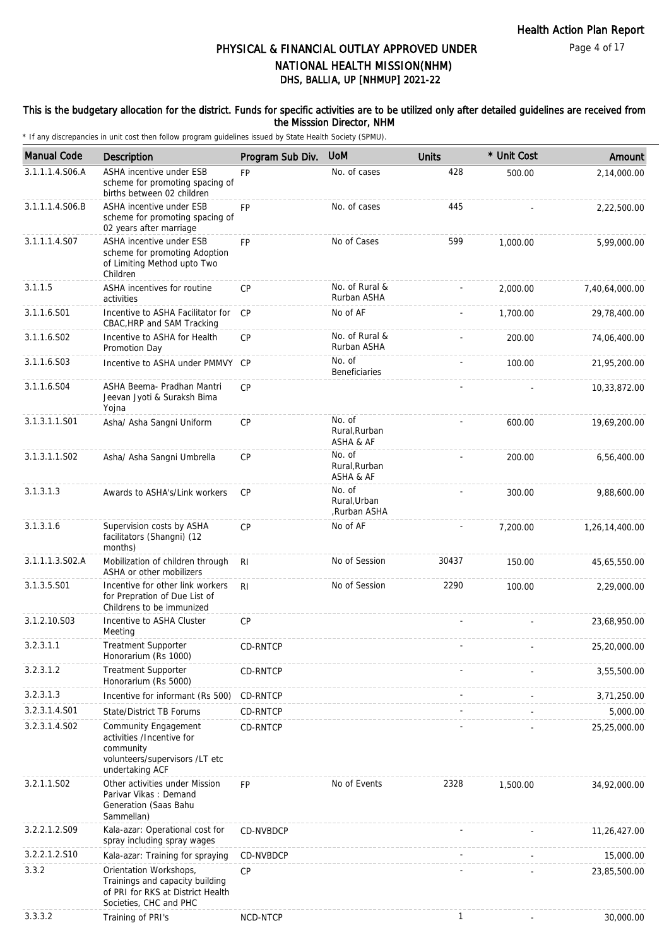### This is the budgetary allocation for the district. Funds for specific activities are to be utilized only after detailed guidelines are received from the Misssion Director, NHM

| <b>Manual Code</b> | <b>Description</b>                                                                                                       | Program Sub Div. | <b>UoM</b>                             | <b>Units</b> | * Unit Cost | Amount         |
|--------------------|--------------------------------------------------------------------------------------------------------------------------|------------------|----------------------------------------|--------------|-------------|----------------|
| 3.1.1.1.4.S06.A    | ASHA incentive under ESB<br>scheme for promoting spacing of<br>births between 02 children                                | <b>FP</b>        | No. of cases                           | 428          | 500.00      | 2,14,000.00    |
| 3.1.1.1.4.S06.B    | ASHA incentive under ESB<br>scheme for promoting spacing of<br>02 years after marriage                                   | <b>FP</b>        | No. of cases                           | 445          |             | 2,22,500.00    |
| 3.1.1.1.4.S07      | ASHA incentive under ESB<br>scheme for promoting Adoption<br>of Limiting Method upto Two<br>Children                     | <b>FP</b>        | No of Cases                            | 599          | 1,000.00    | 5,99,000.00    |
| 3.1.1.5            | ASHA incentives for routine<br>activities                                                                                | <b>CP</b>        | No. of Rural &<br>Rurban ASHA          |              | 2,000.00    | 7,40,64,000.00 |
| 3.1.1.6.S01        | Incentive to ASHA Facilitator for<br>CBAC, HRP and SAM Tracking                                                          | CP               | No of AF                               |              | 1,700.00    | 29,78,400.00   |
| 3.1.1.6.S02        | Incentive to ASHA for Health<br>Promotion Day                                                                            | <b>CP</b>        | No. of Rural &<br>Rurban ASHA          |              | 200.00      | 74,06,400.00   |
| 3.1.1.6.S03        | Incentive to ASHA under PMMVY CP                                                                                         |                  | No. of<br><b>Beneficiaries</b>         |              | 100.00      | 21,95,200.00   |
| 3.1.1.6.S04        | ASHA Beema- Pradhan Mantri<br>Jeevan Jyoti & Suraksh Bima<br>Yojna                                                       | CP               |                                        |              |             | 10,33,872.00   |
| 3.1.3.1.1.S01      | Asha/ Asha Sangni Uniform                                                                                                | <b>CP</b>        | No. of<br>Rural, Rurban<br>ASHA & AF   |              | 600.00      | 19,69,200.00   |
| 3.1.3.1.1.S02      | Asha/ Asha Sangni Umbrella                                                                                               | <b>CP</b>        | No. of<br>Rural, Rurban<br>ASHA & AF   |              | 200.00      | 6,56,400.00    |
| 3.1.3.1.3          | Awards to ASHA's/Link workers                                                                                            | <b>CP</b>        | No. of<br>Rural, Urban<br>Rurban ASHA, |              | 300.00      | 9,88,600.00    |
| 3.1.3.1.6          | Supervision costs by ASHA<br>facilitators (Shangni) (12<br>months)                                                       | <b>CP</b>        | No of AF                               |              | 7,200.00    | 1,26,14,400.00 |
| 3.1.1.1.3.S02.A    | Mobilization of children through<br>ASHA or other mobilizers                                                             | RI               | No of Session                          | 30437        | 150.00      | 45,65,550.00   |
| 3.1.3.5.S01        | Incentive for other link workers<br>for Prepration of Due List of<br>Childrens to be immunized                           | R <sub>l</sub>   | No of Session                          | 2290         | 100.00      | 2,29,000.00    |
| 3.1.2.10.S03       | Incentive to ASHA Cluster<br>Meeting                                                                                     | <b>CP</b>        |                                        |              |             | 23,68,950.00   |
| 3.2.3.1.1          | Treatment Supporter<br>Honorarium (Rs 1000)                                                                              | CD-RNTCP         |                                        |              |             | 25,20,000.00   |
| 3.2.3.1.2          | <b>Treatment Supporter</b><br>Honorarium (Rs 5000)                                                                       | CD-RNTCP         |                                        |              |             | 3,55,500.00    |
| 3.2.3.1.3          | Incentive for informant (Rs 500)                                                                                         | CD-RNTCP         |                                        |              |             | 3,71,250.00    |
| 3.2.3.1.4.S01      | <b>State/District TB Forums</b>                                                                                          | CD-RNTCP         |                                        |              |             | 5,000.00       |
| 3.2.3.1.4.SO2      | Community Engagement<br>activities /Incentive for<br>community<br>volunteers/supervisors /LT etc<br>undertaking ACF      | CD-RNTCP         |                                        |              |             | 25,25,000.00   |
| 3.2.1.1.S02        | Other activities under Mission<br>Parivar Vikas: Demand<br>Generation (Saas Bahu<br>Sammellan)                           | FP               | No of Events                           | 2328         | 1,500.00    | 34,92,000.00   |
| 3.2.2.1.2.S09      | Kala-azar: Operational cost for<br>spray including spray wages                                                           | CD-NVBDCP        |                                        |              |             | 11,26,427.00   |
| 3.2.2.1.2.S10      | Kala-azar: Training for spraying                                                                                         | CD-NVBDCP        |                                        |              |             | 15,000.00      |
| 3.3.2              | Orientation Workshops,<br>Trainings and capacity building<br>of PRI for RKS at District Health<br>Societies, CHC and PHC | <b>CP</b>        |                                        |              |             | 23,85,500.00   |
| 3.3.3.2            | Training of PRI's                                                                                                        | NCD-NTCP         |                                        | 1            |             | 30,000.00      |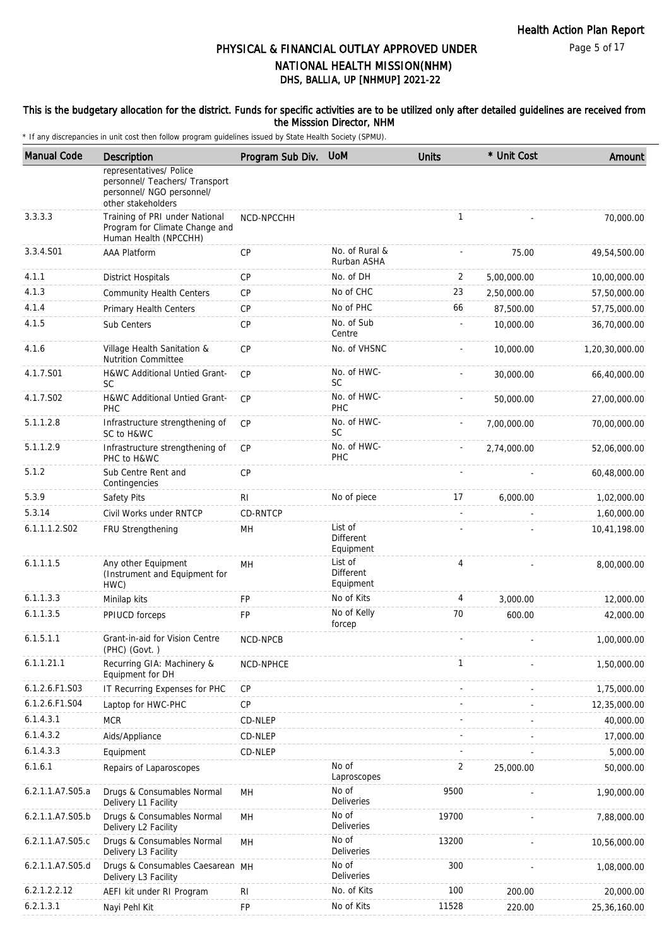### This is the budgetary allocation for the district. Funds for specific activities are to be utilized only after detailed guidelines are received from the Misssion Director, NHM

| <b>Manual Code</b> | Description                                                                                                  | Program Sub Div. | <b>UoM</b>                        | <b>Units</b>             | * Unit Cost | Amount         |
|--------------------|--------------------------------------------------------------------------------------------------------------|------------------|-----------------------------------|--------------------------|-------------|----------------|
|                    | representatives/ Police<br>personnel/ Teachers/ Transport<br>personnel/ NGO personnel/<br>other stakeholders |                  |                                   |                          |             |                |
| 3.3.3.3            | Training of PRI under National<br>Program for Climate Change and<br>Human Health (NPCCHH)                    | NCD-NPCCHH       |                                   | $\mathbf{1}$             |             | 70,000.00      |
| 3.3.4.S01          | <b>AAA Platform</b>                                                                                          | <b>CP</b>        | No. of Rural &<br>Rurban ASHA     |                          | 75.00       | 49,54,500.00   |
| 4.1.1              | <b>District Hospitals</b>                                                                                    | <b>CP</b>        | No. of DH                         | 2                        | 5,00,000.00 | 10,00,000.00   |
| 4.1.3              | <b>Community Health Centers</b>                                                                              | <b>CP</b>        | No of CHC                         | 23                       | 2,50,000.00 | 57,50,000.00   |
| 4.1.4              | Primary Health Centers                                                                                       | CP               | No of PHC                         | 66                       | 87,500.00   | 57,75,000.00   |
| 4.1.5              | Sub Centers                                                                                                  | CP               | No. of Sub<br>Centre              |                          | 10,000.00   | 36,70,000.00   |
| 4.1.6              | Village Health Sanitation &<br><b>Nutrition Committee</b>                                                    | <b>CP</b>        | No. of VHSNC                      |                          | 10,000.00   | 1,20,30,000.00 |
| 4.1.7.S01          | H&WC Additional Untied Grant-<br>SC                                                                          | CP               | No. of HWC-<br>SC                 |                          | 30,000.00   | 66,40,000.00   |
| 4.1.7.S02          | <b>H&amp;WC Additional Untied Grant-</b><br>PHC                                                              | CP               | No. of HWC-<br>PHC                |                          | 50,000.00   | 27,00,000.00   |
| 5.1.1.2.8          | Infrastructure strengthening of<br>SC to H&WC                                                                | <b>CP</b>        | No. of HWC-<br><b>SC</b>          |                          | 7,00,000.00 | 70,00,000.00   |
| 5.1.1.2.9          | Infrastructure strengthening of<br>PHC to H&WC                                                               | <b>CP</b>        | No. of HWC-<br>PHC                |                          | 2,74,000.00 | 52,06,000.00   |
| 5.1.2              | Sub Centre Rent and<br>Contingencies                                                                         | <b>CP</b>        |                                   |                          |             | 60,48,000.00   |
| 5.3.9              | Safety Pits                                                                                                  | RI               | No of piece                       | 17                       | 6,000.00    | 1,02,000.00    |
| 5.3.14             | Civil Works under RNTCP                                                                                      | CD-RNTCP         |                                   | $\overline{\phantom{a}}$ |             | 1,60,000.00    |
| 6.1.1.1.2.S02      | FRU Strengthening                                                                                            | MН               | List of<br>Different<br>Equipment |                          |             | 10,41,198.00   |
| 6.1.1.1.5          | Any other Equipment<br>(Instrument and Equipment for<br>HWC)                                                 | MH               | List of<br>Different<br>Equipment | 4                        |             | 8,00,000.00    |
| 6.1.1.3.3          | Minilap kits                                                                                                 | <b>FP</b>        | No of Kits                        | 4                        | 3,000.00    | 12,000.00      |
| 6.1.1.3.5          | PPIUCD forceps                                                                                               | FP               | No of Kelly<br>forcep             | 70                       | 600.00      | 42,000.00      |
| 6.1.5.1.1          | Grant-in-aid for Vision Centre<br>(PHC) (Govt.)                                                              | NCD-NPCB         |                                   |                          |             | 1,00,000.00    |
| 6.1.1.21.1         | Recurring GIA: Machinery &<br>Equipment for DH                                                               | NCD-NPHCE        |                                   | $\mathbf{1}$             |             | 1,50,000.00    |
| 6.1.2.6.F1.S03     | IT Recurring Expenses for PHC                                                                                | CP               |                                   |                          |             | 1,75,000.00    |
| 6.1.2.6.F1.S04     | Laptop for HWC-PHC                                                                                           | CP               |                                   |                          |             | 12,35,000.00   |
| 6.1.4.3.1          | <b>MCR</b>                                                                                                   | CD-NLEP          |                                   |                          |             | 40,000.00      |
| 6.1.4.3.2          | Aids/Appliance                                                                                               | CD-NLEP          |                                   |                          |             | 17,000.00      |
| 6.1.4.3.3          | Equipment                                                                                                    | CD-NLEP          |                                   |                          |             | 5,000.00       |
| 6.1.6.1            | Repairs of Laparoscopes                                                                                      |                  | No of<br>Laproscopes              | 2                        | 25,000.00   | 50,000.00      |
| 6.2.1.1.A7.S05.a   | Drugs & Consumables Normal<br>Delivery L1 Facility                                                           | <b>MH</b>        | No of<br>Deliveries               | 9500                     |             | 1,90,000.00    |
| 6.2.1.1.A7.S05.b   | Drugs & Consumables Normal<br>Delivery L2 Facility                                                           | MН               | No of<br><b>Deliveries</b>        | 19700                    |             | 7,88,000.00    |
| 6.2.1.1.A7.S05.c   | Drugs & Consumables Normal<br>Delivery L3 Facility                                                           | MH               | No of<br><b>Deliveries</b>        | 13200                    |             | 10,56,000.00   |
| 6.2.1.1.A7.S05.d   | Drugs & Consumables Caesarean MH<br>Delivery L3 Facility                                                     |                  | No of<br>Deliveries               | 300                      |             | 1,08,000.00    |
| 6.2.1.2.2.12       | AEFI kit under RI Program                                                                                    | R <sub>l</sub>   | No. of Kits                       | 100                      | 200.00      | 20,000.00      |
| 6.2.1.3.1          | Nayi Pehl Kit                                                                                                | <b>FP</b>        | No of Kits                        | 11528                    | 220.00      | 25,36,160.00   |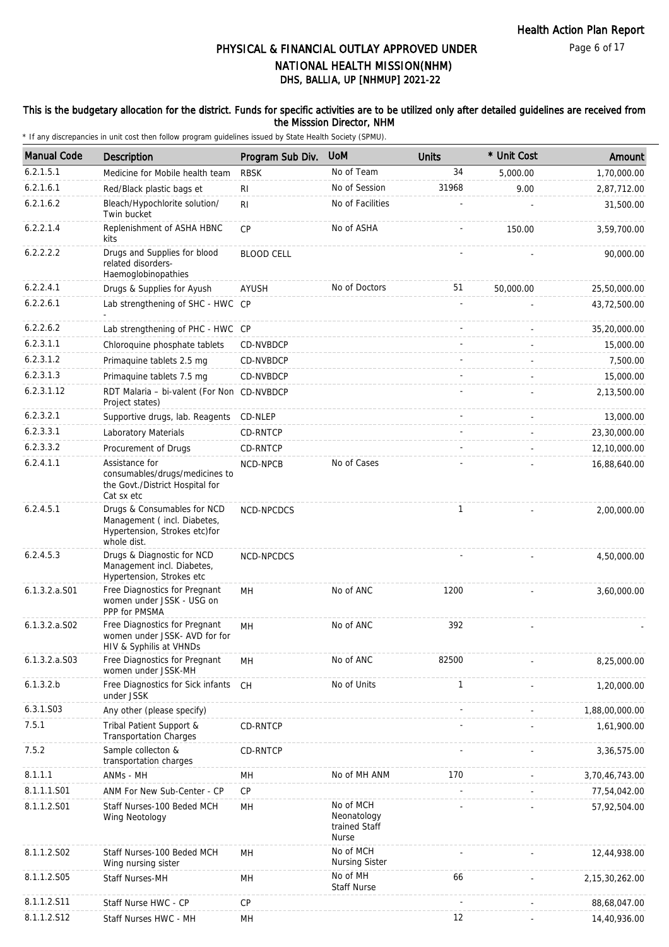### This is the budgetary allocation for the district. Funds for specific activities are to be utilized only after detailed guidelines are received from the Misssion Director, NHM

| <b>Manual Code</b> | <b>Description</b>                                                                                         | Program Sub Div.  | <b>UoM</b>                                         | <b>Units</b> | * Unit Cost | Amount            |
|--------------------|------------------------------------------------------------------------------------------------------------|-------------------|----------------------------------------------------|--------------|-------------|-------------------|
| 6.2.1.5.1          | Medicine for Mobile health team                                                                            | <b>RBSK</b>       | No of Team                                         | 34           | 5,000.00    | 1,70,000.00       |
| 6.2.1.6.1          | Red/Black plastic bags et                                                                                  | RI                | No of Session                                      | 31968        | 9.00        | 2,87,712.00       |
| 6.2.1.6.2          | Bleach/Hypochlorite solution/<br>Twin bucket                                                               | R <sub>l</sub>    | No of Facilities                                   |              |             | 31,500.00         |
| 6.2.2.1.4          | Replenishment of ASHA HBNC<br>kits                                                                         | CP                | No of ASHA                                         |              | 150.00      | 3,59,700.00       |
| 6.2.2.2.2          | Drugs and Supplies for blood<br>related disorders-<br>Haemoglobinopathies                                  | <b>BLOOD CELL</b> |                                                    |              |             | 90,000.00         |
| 6.2.2.4.1          | Drugs & Supplies for Ayush                                                                                 | AYUSH             | No of Doctors                                      | 51           | 50,000.00   | 25,50,000.00      |
| 6.2.2.6.1          | Lab strengthening of SHC - HWC CP                                                                          |                   |                                                    |              |             | 43,72,500.00      |
| 6.2.2.6.2          | Lab strengthening of PHC - HWC CP                                                                          |                   |                                                    |              |             | 35,20,000.00      |
| 6.2.3.1.1          | Chloroquine phosphate tablets                                                                              | CD-NVBDCP         |                                                    |              |             | 15,000.00         |
| 6.2.3.1.2          | Primaquine tablets 2.5 mg                                                                                  | CD-NVBDCP         |                                                    |              |             | 7,500.00          |
| 6.2.3.1.3          | Primaquine tablets 7.5 mg                                                                                  | CD-NVBDCP         |                                                    |              |             | 15,000.00         |
| 6.2.3.1.12         | RDT Malaria - bi-valent (For Non CD-NVBDCP<br>Project states)                                              |                   |                                                    |              |             | 2,13,500.00       |
| 6.2.3.2.1          | Supportive drugs, lab. Reagents                                                                            | CD-NLEP           |                                                    |              |             | 13,000.00         |
| 6.2.3.3.1          | Laboratory Materials                                                                                       | CD-RNTCP          |                                                    |              |             | 23,30,000.00      |
| 6.2.3.3.2          | Procurement of Drugs                                                                                       | CD-RNTCP          |                                                    |              |             | 12,10,000.00      |
| 6.2.4.1.1          | Assistance for<br>consumables/drugs/medicines to<br>the Govt./District Hospital for<br>Cat sx etc          | NCD-NPCB          | No of Cases                                        |              |             | 16,88,640.00      |
| 6.2.4.5.1          | Drugs & Consumables for NCD<br>Management (incl. Diabetes,<br>Hypertension, Strokes etc)for<br>whole dist. | NCD-NPCDCS        |                                                    | $\mathbf{1}$ |             | 2,00,000.00       |
| 6.2.4.5.3          | Drugs & Diagnostic for NCD<br>Management incl. Diabetes,<br>Hypertension, Strokes etc                      | NCD-NPCDCS        |                                                    |              |             | 4,50,000.00       |
| 6.1.3.2.a.S01      | Free Diagnostics for Pregnant<br>women under JSSK - USG on<br>PPP for PMSMA                                | MH                | No of ANC                                          | 1200         |             | 3,60,000.00       |
| $6.1.3.2.a.$ SO2   | Free Diagnostics for Pregnant<br>women under JSSK-AVD for for<br>HIV & Syphilis at VHNDs                   | MН                | No of ANC                                          | 392          |             |                   |
| $6.1.3.2.a.$ SO3   | Free Diagnostics for Pregnant<br>women under JSSK-MH                                                       | MН                | No of ANC                                          | 82500        |             | 8,25,000.00       |
| 6.1.3.2.b          | Free Diagnostics for Sick infants<br>under JSSK                                                            | <b>CH</b>         | No of Units                                        | $\mathbf{1}$ |             | 1,20,000.00       |
| 6.3.1.S03          | Any other (please specify)                                                                                 |                   |                                                    |              |             | 1,88,00,000.00    |
| 7.5.1              | Tribal Patient Support &<br><b>Transportation Charges</b>                                                  | CD-RNTCP          |                                                    |              |             | 1,61,900.00       |
| 7.5.2              | Sample collecton &<br>transportation charges                                                               | <b>CD-RNTCP</b>   |                                                    |              |             | 3,36,575.00       |
| 8.1.1.1            | ANMs - MH                                                                                                  | MН                | No of MH ANM                                       | 170          |             | 3,70,46,743.00    |
| 8.1.1.1.S01        | ANM For New Sub-Center - CP                                                                                | CP                |                                                    |              |             | 77,54,042.00      |
| 8.1.1.2.S01        | Staff Nurses-100 Beded MCH<br>Wing Neotology                                                               | MH                | No of MCH<br>Neonatology<br>trained Staff<br>Nurse |              |             | 57,92,504.00      |
| 8.1.1.2.S02        | Staff Nurses-100 Beded MCH<br>Wing nursing sister                                                          | <b>MH</b>         | No of MCH<br><b>Nursing Sister</b>                 |              |             | 12,44,938.00      |
| 8.1.1.2.S05        | Staff Nurses-MH                                                                                            | MH                | No of MH<br>Staff Nurse                            | 66           |             | 2, 15, 30, 262.00 |
| 8.1.1.2.S11        | Staff Nurse HWC - CP                                                                                       | CP                |                                                    |              |             | 88,68,047.00      |
| 8.1.1.2.S12        | Staff Nurses HWC - MH                                                                                      | MH                |                                                    | 12           |             | 14,40,936.00      |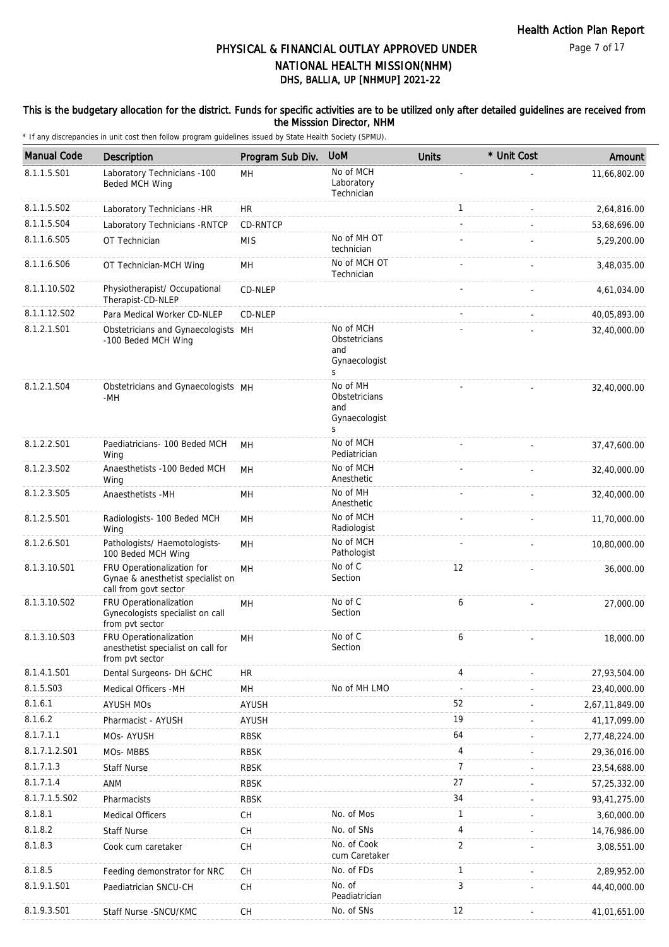### This is the budgetary allocation for the district. Funds for specific activities are to be utilized only after detailed guidelines are received from the Misssion Director, NHM

| <b>Manual Code</b> | Description                                                                              | Program Sub Div. | <b>UoM</b>                                              | <b>Units</b>   | * Unit Cost | Amount         |
|--------------------|------------------------------------------------------------------------------------------|------------------|---------------------------------------------------------|----------------|-------------|----------------|
| 8.1.1.5.S01        | Laboratory Technicians -100<br>Beded MCH Wing                                            | MH               | No of MCH<br>Laboratory<br>Technician                   |                |             | 11,66,802.00   |
| 8.1.1.5.S02        | Laboratory Technicians -HR                                                               | HR               |                                                         | $\mathbf{1}$   |             | 2,64,816.00    |
| 8.1.1.5.S04        | Laboratory Technicians - RNTCP                                                           | CD-RNTCP         |                                                         |                |             | 53,68,696.00   |
| 8.1.1.6.S05        | OT Technician                                                                            | <b>MIS</b>       | No of MH OT<br>technician                               |                |             | 5,29,200.00    |
| 8.1.1.6.S06        | OT Technician-MCH Wing                                                                   | MH               | No of MCH OT<br>Technician                              |                |             | 3,48,035.00    |
| 8.1.1.10.S02       | Physiotherapist/ Occupational<br>Therapist-CD-NLEP                                       | CD-NLEP          |                                                         |                |             | 4,61,034.00    |
| 8.1.1.12.S02       | Para Medical Worker CD-NLEP                                                              | CD-NLEP          |                                                         |                |             | 40,05,893.00   |
| 8.1.2.1.S01        | Obstetricians and Gynaecologists MH<br>-100 Beded MCH Wing                               |                  | No of MCH<br>Obstetricians<br>and<br>Gynaecologist<br>S |                |             | 32,40,000.00   |
| 8.1.2.1.S04        | Obstetricians and Gynaecologists MH<br>-MH                                               |                  | No of MH<br>Obstetricians<br>and<br>Gynaecologist<br>S  |                |             | 32,40,000.00   |
| 8.1.2.2.S01        | Paediatricians- 100 Beded MCH<br>Wing                                                    | MН               | No of MCH<br>Pediatrician                               |                |             | 37,47,600.00   |
| 8.1.2.3.S02        | Anaesthetists -100 Beded MCH<br>Wing                                                     | MH               | No of MCH<br>Anesthetic                                 |                |             | 32,40,000.00   |
| 8.1.2.3.S05        | Anaesthetists -MH                                                                        | MН               | No of MH<br>Anesthetic                                  |                |             | 32,40,000.00   |
| 8.1.2.5.S01        | Radiologists- 100 Beded MCH<br>Wing                                                      | MН               | No of MCH<br>Radiologist                                |                |             | 11,70,000.00   |
| 8.1.2.6.S01        | Pathologists/ Haemotologists-<br>100 Beded MCH Wing                                      | MH               | No of MCH<br>Pathologist                                |                |             | 10,80,000.00   |
| 8.1.3.10.S01       | FRU Operationalization for<br>Gynae & anesthetist specialist on<br>call from govt sector | MH               | No of C<br>Section                                      | 12             |             | 36,000.00      |
| 8.1.3.10.S02       | FRU Operationalization<br>Gynecologists specialist on call<br>from pvt sector            | MH               | No of C<br>Section                                      | 6              |             | 27.000.00      |
| 8.1.3.10.S03       | FRU Operationalization<br>anesthetist specialist on call for<br>from pvt sector          | MH               | No of C<br>Section                                      | 6              |             | 18,000.00      |
| 8.1.4.1.S01        | Dental Surgeons- DH &CHC                                                                 | <b>HR</b>        |                                                         | 4              |             | 27,93,504.00   |
| 8.1.5.S03          | Medical Officers -MH                                                                     | MH               | No of MH LMO                                            | ÷,             |             | 23,40,000.00   |
| 8.1.6.1            | <b>AYUSH MOs</b>                                                                         | <b>AYUSH</b>     |                                                         | 52             |             | 2,67,11,849.00 |
| 8.1.6.2            | Pharmacist - AYUSH                                                                       | AYUSH            |                                                         | 19             |             | 41,17,099.00   |
| 8.1.7.1.1          | MOs- AYUSH                                                                               | <b>RBSK</b>      |                                                         | 64             |             | 2,77,48,224.00 |
| 8.1.7.1.2.S01      | MOs-MBBS                                                                                 | <b>RBSK</b>      |                                                         | 4              |             | 29,36,016.00   |
| 8.1.7.1.3          | Staff Nurse                                                                              | RBSK             |                                                         | $\overline{7}$ |             | 23,54,688.00   |
| 8.1.7.1.4          | ANM                                                                                      | <b>RBSK</b>      |                                                         | 27             |             | 57,25,332.00   |
| 8.1.7.1.5.S02      | Pharmacists                                                                              | <b>RBSK</b>      |                                                         | 34             |             | 93,41,275.00   |
| 8.1.8.1            | Medical Officers                                                                         | <b>CH</b>        | No. of Mos                                              | 1              |             | 3,60,000.00    |
| 8.1.8.2            | <b>Staff Nurse</b>                                                                       | CH               | No. of SNs                                              | 4              |             | 14,76,986.00   |
| 8.1.8.3            | Cook cum caretaker                                                                       | CH               | No. of Cook<br>cum Caretaker                            | 2              |             | 3,08,551.00    |
| 8.1.8.5            | Feeding demonstrator for NRC                                                             | CH               | No. of FDs                                              | 1              |             | 2,89,952.00    |
| 8.1.9.1.S01        | Paediatrician SNCU-CH                                                                    | CH               | No. of<br>Peadiatrician                                 | 3              |             | 44,40,000.00   |
| 8.1.9.3.S01        | Staff Nurse - SNCU/KMC                                                                   | CH               | No. of SNs                                              | 12             |             | 41,01,651.00   |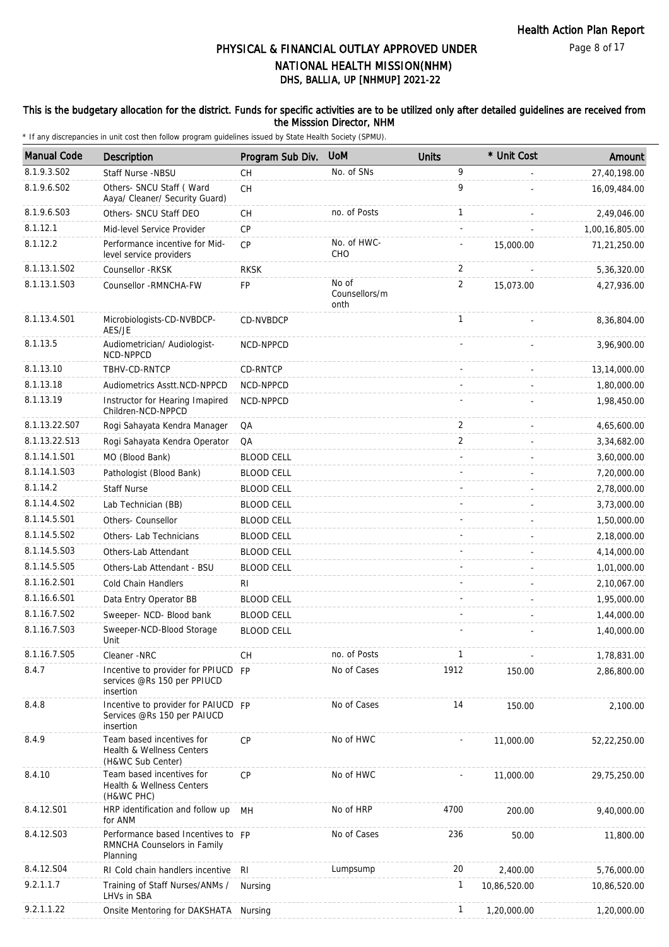### This is the budgetary allocation for the district. Funds for specific activities are to be utilized only after detailed guidelines are received from the Misssion Director, NHM

| <b>Manual Code</b> | <b>Description</b>                                                              | Program Sub Div.  | <b>UoM</b>                     | <b>Units</b>   | * Unit Cost  | Amount         |
|--------------------|---------------------------------------------------------------------------------|-------------------|--------------------------------|----------------|--------------|----------------|
| 8.1.9.3.SO2        | Staff Nurse -NBSU                                                               | CH                | No. of SNs                     | 9              |              | 27,40,198.00   |
| 8.1.9.6.S02        | Others- SNCU Staff ( Ward<br>Aaya/ Cleaner/ Security Guard)                     | CH                |                                | 9              |              | 16,09,484.00   |
| 8.1.9.6.S03        | Others- SNCU Staff DEO                                                          | CH                | no. of Posts                   | $\mathbf{1}$   |              | 2,49,046.00    |
| 8.1.12.1           | Mid-level Service Provider                                                      | CP                |                                |                |              | 1,00,16,805.00 |
| 8.1.12.2           | Performance incentive for Mid-<br>level service providers                       | CP                | No. of HWC-<br>CHO             |                | 15,000.00    | 71,21,250.00   |
| 8.1.13.1.S02       | Counsellor -RKSK                                                                | <b>RKSK</b>       |                                | 2              |              | 5,36,320.00    |
| 8.1.13.1.S03       | Counsellor - RMNCHA-FW                                                          | FP                | No of<br>Counsellors/m<br>onth | $\overline{2}$ | 15,073.00    | 4,27,936.00    |
| 8.1.13.4.S01       | Microbiologists-CD-NVBDCP-<br>AES/JE                                            | CD-NVBDCP         |                                | $\mathbf{1}$   |              | 8,36,804.00    |
| 8.1.13.5           | Audiometrician/ Audiologist-<br>NCD-NPPCD                                       | NCD-NPPCD         |                                |                |              | 3,96,900.00    |
| 8.1.13.10          | TBHV-CD-RNTCP                                                                   | CD-RNTCP          |                                |                |              | 13,14,000.00   |
| 8.1.13.18          | Audiometrics Asstt.NCD-NPPCD                                                    | NCD-NPPCD         |                                |                |              | 1,80,000.00    |
| 8.1.13.19          | Instructor for Hearing Imapired<br>Children-NCD-NPPCD                           | NCD-NPPCD         |                                |                |              | 1,98,450.00    |
| 8.1.13.22.S07      | Rogi Sahayata Kendra Manager                                                    | QA                |                                | 2              |              | 4,65,600.00    |
| 8.1.13.22.S13      | Rogi Sahayata Kendra Operator                                                   | QA                |                                | $\overline{2}$ |              | 3,34,682.00    |
| 8.1.14.1.S01       | MO (Blood Bank)                                                                 | <b>BLOOD CELL</b> |                                |                |              | 3,60,000.00    |
| 8.1.14.1.S03       | Pathologist (Blood Bank)                                                        | <b>BLOOD CELL</b> |                                |                |              | 7,20,000.00    |
| 8.1.14.2           | <b>Staff Nurse</b>                                                              | <b>BLOOD CELL</b> |                                |                |              | 2,78,000.00    |
| 8.1.14.4.S02       | Lab Technician (BB)                                                             | <b>BLOOD CELL</b> |                                |                |              | 3,73,000.00    |
| 8.1.14.5.S01       | Others- Counsellor                                                              | <b>BLOOD CELL</b> |                                |                |              | 1,50,000.00    |
| 8.1.14.5.S02       | Others- Lab Technicians                                                         | <b>BLOOD CELL</b> |                                |                |              | 2,18,000.00    |
| 8.1.14.5.S03       | Others-Lab Attendant                                                            | <b>BLOOD CELL</b> |                                |                |              | 4,14,000.00    |
| 8.1.14.5.S05       | Others-Lab Attendant - BSU                                                      | <b>BLOOD CELL</b> |                                |                |              | 1,01,000.00    |
| 8.1.16.2.S01       | Cold Chain Handlers                                                             | RI.               |                                |                |              | 2,10,067.00    |
| 8.1.16.6.S01       | Data Entry Operator BB                                                          | <b>BLOOD CELL</b> |                                |                |              | 1,95,000.00    |
| 8.1.16.7.S02       | Sweeper- NCD- Blood bank                                                        | <b>BLOOD CELL</b> |                                |                |              | 1,44,000.00    |
| 8.1.16.7.S03       | Sweeper-NCD-Blood Storage<br>Unit                                               | <b>BLOOD CELL</b> |                                |                |              | 1,40,000.00    |
| 8.1.16.7.S05       | Cleaner -NRC                                                                    | СH                | no. of Posts                   | 1              |              | 1,78,831.00    |
| 8.4.7              | Incentive to provider for PPIUCD FP<br>services @Rs 150 per PPIUCD<br>insertion |                   | No of Cases                    | 1912           | 150.00       | 2,86,800.00    |
| 8.4.8              | Incentive to provider for PAIUCD FP<br>Services @Rs 150 per PAIUCD<br>insertion |                   | No of Cases                    | 14             | 150.00       | 2,100.00       |
| 8.4.9              | Team based incentives for<br>Health & Wellness Centers<br>(H&WC Sub Center)     | <b>CP</b>         | No of HWC                      |                | 11,000.00    | 52,22,250.00   |
| 8.4.10             | Team based incentives for<br>Health & Wellness Centers<br>(H&WC PHC)            | <b>CP</b>         | No of HWC                      |                | 11,000.00    | 29,75,250.00   |
| 8.4.12.S01         | HRP identification and follow up<br>for ANM                                     | MН                | No of HRP                      | 4700           | 200.00       | 9,40,000.00    |
| 8.4.12.S03         | Performance based Incentives to FP<br>RMNCHA Counselors in Family<br>Planning   |                   | No of Cases                    | 236            | 50.00        | 11,800.00      |
| 8.4.12.S04         | RI Cold chain handlers incentive                                                | RI                | Lumpsump                       | 20             | 2,400.00     | 5,76,000.00    |
| 9.2.1.1.7          | Training of Staff Nurses/ANMs /<br>LHVs in SBA                                  | Nursing           |                                | $\mathbf{1}$   | 10,86,520.00 | 10,86,520.00   |
| 9.2.1.1.22         | Onsite Mentoring for DAKSHATA Nursing                                           |                   |                                | $\mathbf{1}$   | 1,20,000.00  | 1,20,000.00    |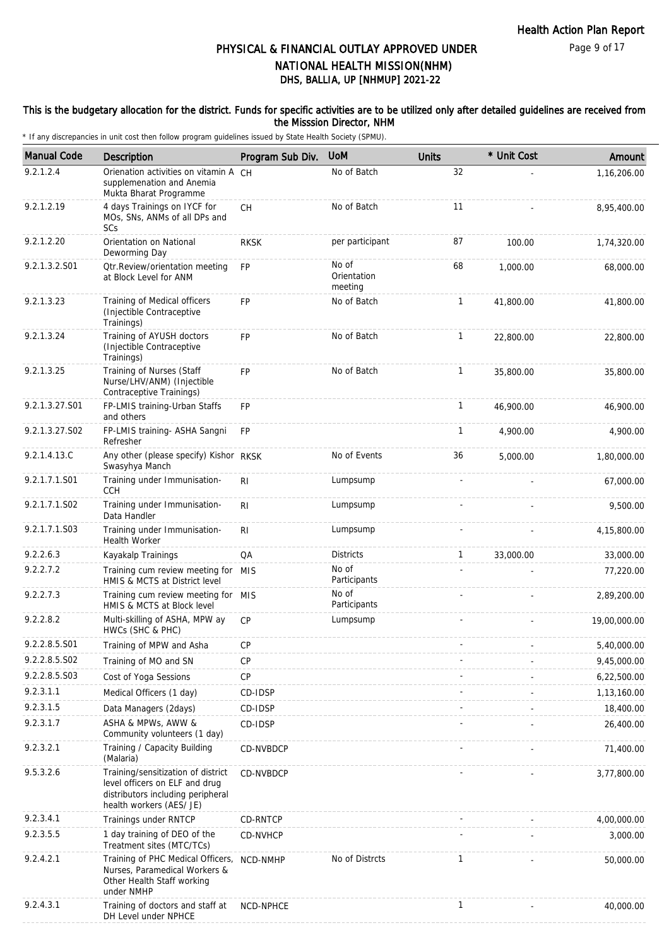### This is the budgetary allocation for the district. Funds for specific activities are to be utilized only after detailed guidelines are received from the Misssion Director, NHM

| <b>Manual Code</b> | Description                                                                                                                           | Program Sub Div. | <b>UoM</b>                      | <b>Units</b> | * Unit Cost | Amount       |
|--------------------|---------------------------------------------------------------------------------------------------------------------------------------|------------------|---------------------------------|--------------|-------------|--------------|
| 9.2.1.2.4          | Orienation activities on vitamin A CH<br>supplemenation and Anemia<br>Mukta Bharat Programme                                          |                  | No of Batch                     | 32           |             | 1,16,206.00  |
| 9.2.1.2.19         | 4 days Trainings on IYCF for<br>MOs, SNs, ANMs of all DPs and<br>SCs                                                                  | CH               | No of Batch                     | 11           |             | 8,95,400.00  |
| 9.2.1.2.20         | Orientation on National<br>Deworming Day                                                                                              | <b>RKSK</b>      | per participant                 | 87           | 100.00      | 1,74,320.00  |
| 9.2.1.3.2.S01      | Otr.Review/orientation meeting<br>at Block Level for ANM                                                                              | <b>FP</b>        | No of<br>Orientation<br>meeting | 68           | 1,000.00    | 68,000.00    |
| 9.2.1.3.23         | Training of Medical officers<br>(Injectible Contraceptive<br>Trainings)                                                               | <b>FP</b>        | No of Batch                     | 1            | 41,800.00   | 41,800.00    |
| 9.2.1.3.24         | Training of AYUSH doctors<br>(Injectible Contraceptive<br>Trainings)                                                                  | <b>FP</b>        | No of Batch                     | $\mathbf{1}$ | 22,800.00   | 22,800.00    |
| 9.2.1.3.25         | Training of Nurses (Staff<br>Nurse/LHV/ANM) (Injectible<br>Contraceptive Trainings)                                                   | <b>FP</b>        | No of Batch                     | $\mathbf{1}$ | 35,800.00   | 35,800.00    |
| 9.2.1.3.27.S01     | FP-LMIS training-Urban Staffs<br>and others                                                                                           | FP               |                                 | $\mathbf{1}$ | 46,900.00   | 46,900.00    |
| 9.2.1.3.27.S02     | FP-LMIS training- ASHA Sangni<br>Refresher                                                                                            | <b>FP</b>        |                                 | $\mathbf{1}$ | 4,900.00    | 4,900.00     |
| 9.2.1.4.13.C       | Any other (please specify) Kishor RKSK<br>Swasyhya Manch                                                                              |                  | No of Events                    | 36           | 5,000.00    | 1,80,000.00  |
| 9.2.1.7.1.S01      | Training under Immunisation-<br><b>CCH</b>                                                                                            | R <sub>l</sub>   | Lumpsump                        |              |             | 67,000.00    |
| 9.2.1.7.1.S02      | Training under Immunisation-<br>Data Handler                                                                                          | R <sub>l</sub>   | Lumpsump                        |              |             | 9,500.00     |
| 9.2.1.7.1.S03      | Training under Immunisation-<br><b>Health Worker</b>                                                                                  | R <sub>l</sub>   | Lumpsump                        |              |             | 4,15,800.00  |
| 9.2.2.6.3          | Kayakalp Trainings                                                                                                                    | QA               | <b>Districts</b>                | 1            | 33,000.00   | 33,000.00    |
| 9.2.2.7.2          | Training cum review meeting for MIS<br>HMIS & MCTS at District level                                                                  |                  | No of<br>Participants           |              |             | 77,220.00    |
| 9.2.2.7.3          | Training cum review meeting for MIS<br>HMIS & MCTS at Block level                                                                     |                  | No of<br>Participants           |              |             | 2,89,200.00  |
| 9.2.2.8.2          | Multi-skilling of ASHA, MPW ay<br>HWCs (SHC & PHC)                                                                                    | CP               | Lumpsump                        |              |             | 19,00,000.00 |
| 9.2.2.8.5.S01      | Training of MPW and Asha                                                                                                              | <b>CP</b>        |                                 |              |             | 5,40,000.00  |
| 9.2.2.8.5.S02      | Training of MO and SN                                                                                                                 | <b>CP</b>        |                                 |              |             | 9,45,000.00  |
| 9.2.2.8.5.S03      | Cost of Yoga Sessions                                                                                                                 | CP               |                                 |              |             | 6,22,500.00  |
| 9.2.3.1.1          | Medical Officers (1 day)                                                                                                              | CD-IDSP          |                                 |              |             | 1,13,160.00  |
| 9.2.3.1.5          | Data Managers (2days)                                                                                                                 | CD-IDSP          |                                 |              |             | 18,400.00    |
| 9.2.3.1.7          | ASHA & MPWs, AWW &<br>Community volunteers (1 day)                                                                                    | CD-IDSP          |                                 |              |             | 26,400.00    |
| 9.2.3.2.1          | Training / Capacity Building<br>(Malaria)                                                                                             | CD-NVBDCP        |                                 |              |             | 71,400.00    |
| 9.5.3.2.6          | Training/sensitization of district<br>level officers on ELF and drug<br>distributors including peripheral<br>health workers (AES/ JE) | CD-NVBDCP        |                                 |              |             | 3,77,800.00  |
| 9.2.3.4.1          | Trainings under RNTCP                                                                                                                 | CD-RNTCP         |                                 |              |             | 4,00,000.00  |
| 9.2.3.5.5          | 1 day training of DEO of the<br>Treatment sites (MTC/TCs)                                                                             | CD-NVHCP         |                                 |              |             | 3,000.00     |
| 9.2.4.2.1          | Training of PHC Medical Officers,<br>Nurses, Paramedical Workers &<br>Other Health Staff working<br>under NMHP                        | NCD-NMHP         | No of Distrcts                  | 1            |             | 50,000.00    |
| 9.2.4.3.1          | Training of doctors and staff at<br>DH Level under NPHCE                                                                              | <b>NCD-NPHCE</b> |                                 | 1            |             | 40,000.00    |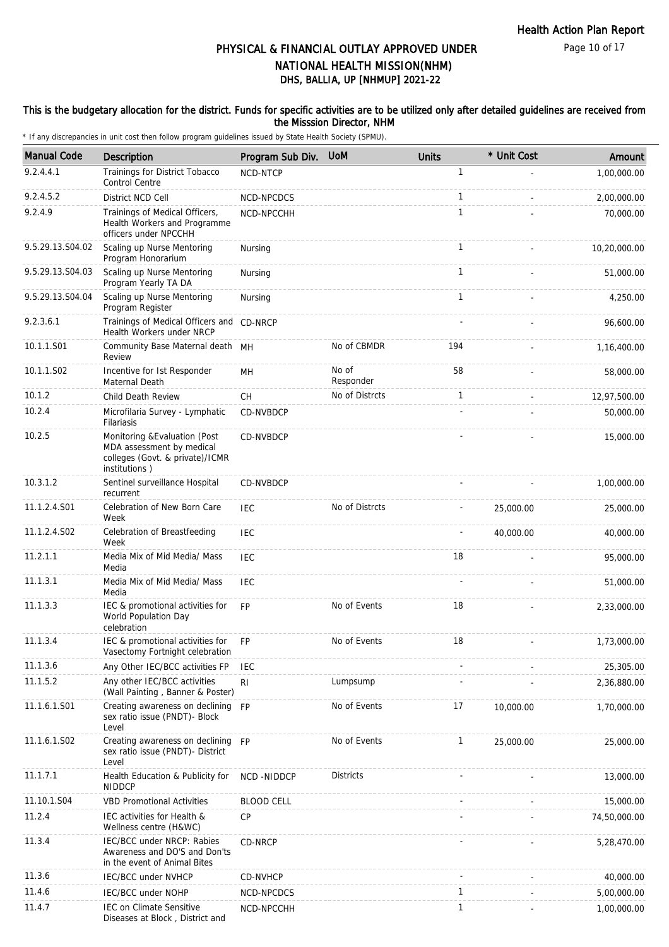Page 10 of 17

# DHS, BALLIA, UP [NHMUP] 2021-22 PHYSICAL & FINANCIAL OUTLAY APPROVED UNDER NATIONAL HEALTH MISSION(NHM)

### This is the budgetary allocation for the district. Funds for specific activities are to be utilized only after detailed guidelines are received from the Misssion Director, NHM

| <b>Manual Code</b> | <b>Description</b>                                                                                             | Program Sub Div.  | <b>UoM</b>         | <b>Units</b> | * Unit Cost | Amount       |
|--------------------|----------------------------------------------------------------------------------------------------------------|-------------------|--------------------|--------------|-------------|--------------|
| 9.2.4.4.1          | Trainings for District Tobacco<br><b>Control Centre</b>                                                        | NCD-NTCP          |                    | $\mathbf{1}$ |             | 1.00.000.00  |
| 9.2.4.5.2          | District NCD Cell                                                                                              | NCD-NPCDCS        |                    | $\mathbf{1}$ |             | 2,00,000.00  |
| 9.2.4.9            | Trainings of Medical Officers,<br>Health Workers and Programme<br>officers under NPCCHH                        | NCD-NPCCHH        |                    | $\mathbf{1}$ |             | 70,000.00    |
| 9.5.29.13.S04.02   | Scaling up Nurse Mentoring<br>Program Honorarium                                                               | Nursing           |                    | $\mathbf{1}$ |             | 10,20,000.00 |
| 9.5.29.13.S04.03   | Scaling up Nurse Mentoring<br>Program Yearly TA DA                                                             | Nursing           |                    | $\mathbf{1}$ |             | 51,000.00    |
| 9.5.29.13.S04.04   | Scaling up Nurse Mentoring<br>Program Register                                                                 | Nursing           |                    | $\mathbf{1}$ |             | 4,250.00     |
| 9.2.3.6.1          | Trainings of Medical Officers and CD-NRCP<br>Health Workers under NRCP                                         |                   |                    |              |             | 96,600.00    |
| 10.1.1.S01         | Community Base Maternal death MH<br>Review                                                                     |                   | No of CBMDR        | 194          |             | 1,16,400.00  |
| 10.1.1.S02         | Incentive for 1st Responder<br>Maternal Death                                                                  | MН                | No of<br>Responder | 58           |             | 58,000.00    |
| 10.1.2             | Child Death Review                                                                                             | <b>CH</b>         | No of Distrcts     | $\mathbf{1}$ |             | 12,97,500.00 |
| 10.2.4             | Microfilaria Survey - Lymphatic<br>Filariasis                                                                  | CD-NVBDCP         |                    |              |             | 50,000.00    |
| 10.2.5             | Monitoring & Evaluation (Post<br>MDA assessment by medical<br>colleges (Govt. & private)/ICMR<br>institutions) | CD-NVBDCP         |                    |              |             | 15,000.00    |
| 10.3.1.2           | Sentinel surveillance Hospital<br>recurrent                                                                    | CD-NVBDCP         |                    |              |             | 1,00,000.00  |
| 11.1.2.4.S01       | Celebration of New Born Care<br>Week                                                                           | IEC               | No of Distrcts     |              | 25,000.00   | 25,000.00    |
| 11.1.2.4.S02       | Celebration of Breastfeeding<br>Week                                                                           | <b>IEC</b>        |                    |              | 40,000.00   | 40,000.00    |
| 11.2.1.1           | Media Mix of Mid Media/ Mass<br>Media                                                                          | <b>IEC</b>        |                    | 18           |             | 95,000.00    |
| 11.1.3.1           | Media Mix of Mid Media/ Mass<br>Media                                                                          | <b>IEC</b>        |                    |              |             | 51,000.00    |
| 11.1.3.3           | IEC & promotional activities for<br>World Population Day<br>celebration                                        | <b>FP</b>         | No of Events       | 18           |             | 2,33,000.00  |
| 11.1.3.4           | IEC & promotional activities for<br>Vasectomy Fortnight celebration                                            | FP                | No of Events       | 18           |             | 1,73,000.00  |
| 11.1.3.6           | Any Other IEC/BCC activities FP                                                                                | <b>IEC</b>        |                    |              |             | 25,305.00    |
| 11.1.5.2           | Any other IEC/BCC activities<br>(Wall Painting, Banner & Poster)                                               | RI                | Lumpsump           |              |             | 2,36,880.00  |
| 11.1.6.1.S01       | Creating awareness on declining<br>sex ratio issue (PNDT)- Block<br>Level                                      | <b>FP</b>         | No of Events       | 17           | 10,000.00   | 1,70,000.00  |
| 11.1.6.1.S02       | Creating awareness on declining<br>sex ratio issue (PNDT)- District<br>Level                                   | <b>FP</b>         | No of Events       | 1            | 25,000.00   | 25,000.00    |
| 11.1.7.1           | Health Education & Publicity for<br><b>NIDDCP</b>                                                              | NCD -NIDDCP       | <b>Districts</b>   |              |             | 13,000.00    |
| 11.10.1.S04        | <b>VBD Promotional Activities</b>                                                                              | <b>BLOOD CELL</b> |                    |              |             | 15,000.00    |
| 11.2.4             | IEC activities for Health &<br>Wellness centre (H&WC)                                                          | <b>CP</b>         |                    |              |             | 74,50,000.00 |
| 11.3.4             | IEC/BCC under NRCP: Rabies<br>Awareness and DO'S and Don'ts<br>in the event of Animal Bites                    | CD-NRCP           |                    |              |             | 5,28,470.00  |
| 11.3.6             | IEC/BCC under NVHCP                                                                                            | CD-NVHCP          |                    |              |             | 40,000.00    |
| 11.4.6             | IEC/BCC under NOHP                                                                                             | NCD-NPCDCS        |                    | 1            |             | 5,00,000.00  |
| 11.4.7             | <b>IEC on Climate Sensitive</b><br>Diseases at Block, District and                                             | NCD-NPCCHH        |                    | 1            |             | 1,00,000.00  |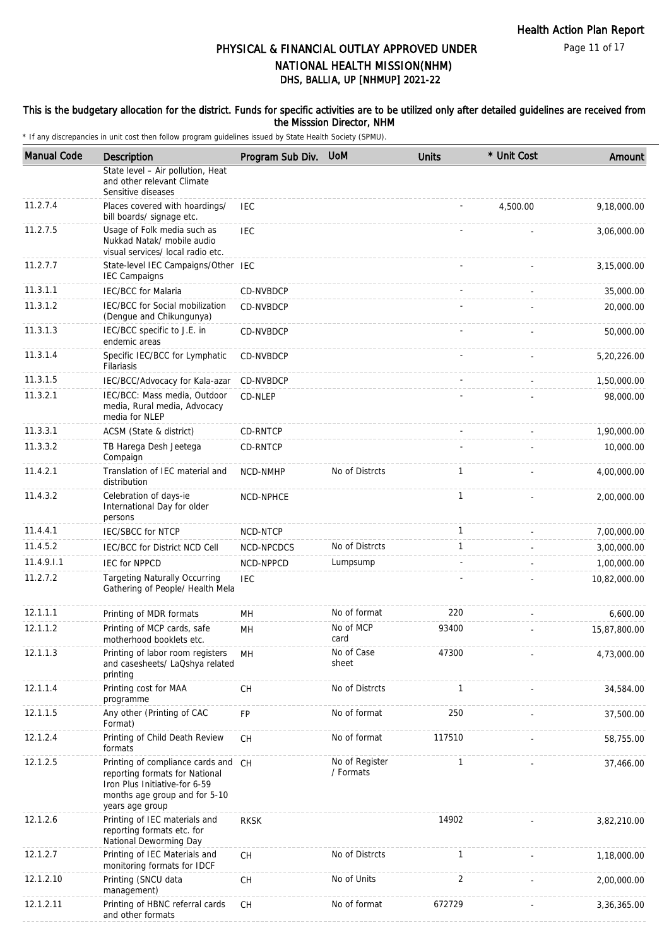### This is the budgetary allocation for the district. Funds for specific activities are to be utilized only after detailed guidelines are received from the Misssion Director, NHM

| <b>Manual Code</b> | Description                                                                                                                                                | Program Sub Div. | <b>UoM</b>                  | <b>Units</b>   | * Unit Cost | Amount       |
|--------------------|------------------------------------------------------------------------------------------------------------------------------------------------------------|------------------|-----------------------------|----------------|-------------|--------------|
|                    | State level - Air pollution, Heat<br>and other relevant Climate<br>Sensitive diseases                                                                      |                  |                             |                |             |              |
| 11.2.7.4           | Places covered with hoardings/<br>bill boards/ signage etc.                                                                                                | <b>IEC</b>       |                             |                | 4,500.00    | 9,18,000.00  |
| 11.2.7.5           | Usage of Folk media such as<br>Nukkad Natak/ mobile audio<br>visual services/ local radio etc.                                                             | <b>IEC</b>       |                             |                |             | 3,06,000.00  |
| 11.2.7.7           | State-level IEC Campaigns/Other IEC<br><b>IEC Campaigns</b>                                                                                                |                  |                             |                |             | 3,15,000.00  |
| 11.3.1.1           | <b>IEC/BCC for Malaria</b>                                                                                                                                 | CD-NVBDCP        |                             |                |             | 35,000.00    |
| 11.3.1.2           | IEC/BCC for Social mobilization<br>(Dengue and Chikungunya)                                                                                                | CD-NVBDCP        |                             |                |             | 20,000.00    |
| 11.3.1.3           | IEC/BCC specific to J.E. in<br>endemic areas                                                                                                               | CD-NVBDCP        |                             |                |             | 50,000.00    |
| 11.3.1.4           | Specific IEC/BCC for Lymphatic<br>Filariasis                                                                                                               | CD-NVBDCP        |                             |                |             | 5,20,226.00  |
| 11.3.1.5           | IEC/BCC/Advocacy for Kala-azar                                                                                                                             | CD-NVBDCP        |                             |                |             | 1,50,000.00  |
| 11.3.2.1           | IEC/BCC: Mass media, Outdoor<br>media, Rural media, Advocacy<br>media for NLEP                                                                             | CD-NLEP          |                             |                |             | 98,000.00    |
| 11.3.3.1           | ACSM (State & district)                                                                                                                                    | CD-RNTCP         |                             |                |             | 1,90,000.00  |
| 11.3.3.2           | TB Harega Desh Jeetega<br>Compaign                                                                                                                         | CD-RNTCP         |                             |                |             | 10,000.00    |
| 11.4.2.1           | Translation of IEC material and<br>distribution                                                                                                            | <b>NCD-NMHP</b>  | No of Distrcts              | 1              |             | 4,00,000.00  |
| 11.4.3.2           | Celebration of days-ie<br>International Day for older<br>persons                                                                                           | NCD-NPHCE        |                             | $\mathbf{1}$   |             | 2,00,000.00  |
| 11.4.4.1           | <b>IEC/SBCC for NTCP</b>                                                                                                                                   | NCD-NTCP         |                             | $\mathbf{1}$   |             | 7,00,000.00  |
| 11.4.5.2           | IEC/BCC for District NCD Cell                                                                                                                              | NCD-NPCDCS       | No of Distrcts              | $\mathbf{1}$   |             | 3,00,000.00  |
| 11.4.9.1.1         | <b>IEC for NPPCD</b>                                                                                                                                       | NCD-NPPCD        | Lumpsump                    |                |             | 1,00,000.00  |
| 11.2.7.2           | <b>Targeting Naturally Occurring</b><br>Gathering of People/ Health Mela                                                                                   | <b>IEC</b>       |                             |                |             | 10,82,000.00 |
| 12.1.1.1           | Printing of MDR formats                                                                                                                                    | MН               | No of format                | 220            |             | 6,600.00     |
| 12.1.1.2           | Printing of MCP cards, safe<br>motherhood booklets etc.                                                                                                    | MН               | No of MCP<br>card           | 93400          |             | 15,87,800.00 |
| 12.1.1.3           | Printing of labor room registers<br>and casesheets/ LaQshya related<br>printing                                                                            | MH               | No of Case<br>sheet         | 47300          |             | 4,73,000.00  |
| 12.1.1.4           | Printing cost for MAA<br>programme                                                                                                                         | <b>CH</b>        | No of Distrcts              | $\mathbf{1}$   |             | 34,584.00    |
| 12.1.1.5           | Any other (Printing of CAC<br>Format)                                                                                                                      | FP               | No of format                | 250            |             | 37,500.00    |
| 12.1.2.4           | Printing of Child Death Review<br>formats                                                                                                                  | CH               | No of format                | 117510         |             | 58,755.00    |
| 12.1.2.5           | Printing of compliance cards and CH<br>reporting formats for National<br>Iron Plus Initiative-for 6-59<br>months age group and for 5-10<br>years age group |                  | No of Register<br>/ Formats | $\mathbf{1}$   |             | 37,466.00    |
| 12.1.2.6           | Printing of IEC materials and<br>reporting formats etc. for<br>National Deworming Day                                                                      | <b>RKSK</b>      |                             | 14902          |             | 3,82,210.00  |
| 12.1.2.7           | Printing of IEC Materials and<br>monitoring formats for IDCF                                                                                               | CH               | No of Distrcts              | $\mathbf{1}$   |             | 1,18,000.00  |
| 12.1.2.10          | Printing (SNCU data<br>management)                                                                                                                         | CH               | No of Units                 | $\overline{2}$ |             | 2,00,000.00  |
| 12.1.2.11          | Printing of HBNC referral cards<br>and other formats                                                                                                       | CH               | No of format                | 672729         |             | 3,36,365.00  |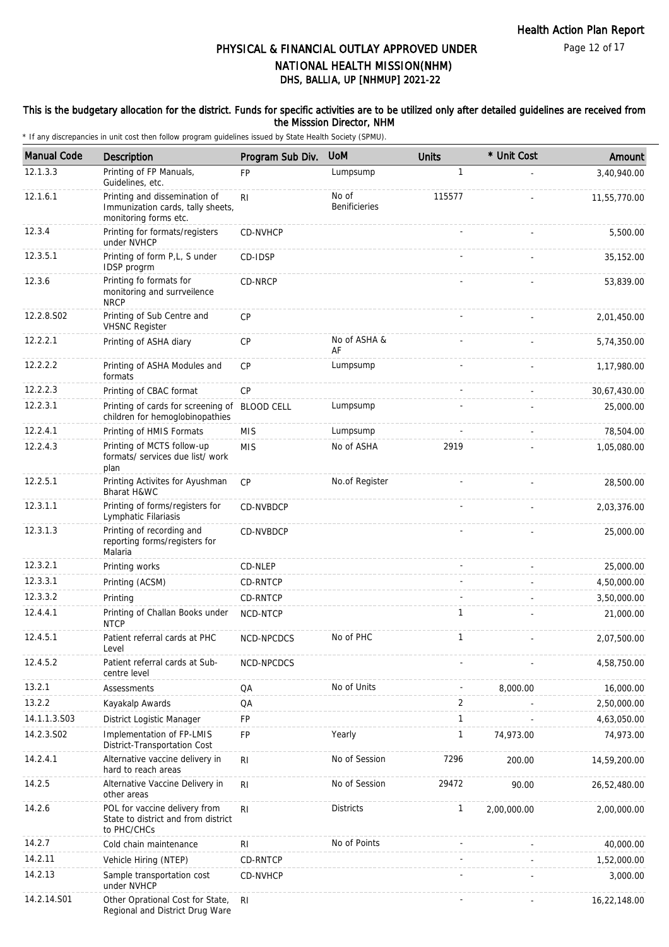### This is the budgetary allocation for the district. Funds for specific activities are to be utilized only after detailed guidelines are received from the Misssion Director, NHM

| <b>Manual Code</b> | Description                                                                                 | Program Sub Div. | <b>UoM</b>                    | <b>Units</b> | * Unit Cost | Amount       |
|--------------------|---------------------------------------------------------------------------------------------|------------------|-------------------------------|--------------|-------------|--------------|
| 12.1.3.3           | Printing of FP Manuals,<br>Guidelines, etc.                                                 | <b>FP</b>        | Lumpsump                      | 1            |             | 3,40,940.00  |
| 12.1.6.1           | Printing and dissemination of<br>Immunization cards, tally sheets,<br>monitoring forms etc. | R <sub>l</sub>   | No of<br><b>Benificieries</b> | 115577       |             | 11,55,770.00 |
| 12.3.4             | Printing for formats/registers<br>under NVHCP                                               | CD-NVHCP         |                               |              |             | 5,500.00     |
| 12.3.5.1           | Printing of form P,L, S under<br>IDSP progrm                                                | CD-IDSP          |                               |              |             | 35,152.00    |
| 12.3.6             | Printing fo formats for<br>monitoring and surrveilence<br><b>NRCP</b>                       | CD-NRCP          |                               |              |             | 53,839.00    |
| 12.2.8.S02         | Printing of Sub Centre and<br><b>VHSNC Register</b>                                         | <b>CP</b>        |                               |              |             | 2,01,450.00  |
| 12.2.2.1           | Printing of ASHA diary                                                                      | <b>CP</b>        | No of ASHA &<br>AF            |              |             | 5,74,350.00  |
| 12.2.2.2           | Printing of ASHA Modules and<br>formats                                                     | CP               | Lumpsump                      |              |             | 1,17,980.00  |
| 12.2.2.3           | Printing of CBAC format                                                                     | CP               |                               |              |             | 30,67,430.00 |
| 12.2.3.1           | Printing of cards for screening of BLOOD CELL<br>children for hemoglobinopathies            |                  | Lumpsump                      |              |             | 25,000.00    |
| 12.2.4.1           | Printing of HMIS Formats                                                                    | <b>MIS</b>       | Lumpsump                      |              |             | 78,504.00    |
| 12.2.4.3           | Printing of MCTS follow-up<br>formats/ services due list/ work<br>plan                      | <b>MIS</b>       | No of ASHA                    | 2919         |             | 1,05,080.00  |
| 12.2.5.1           | Printing Activites for Ayushman<br>Bharat H&WC                                              | <b>CP</b>        | No.of Register                |              |             | 28,500.00    |
| 12.3.1.1           | Printing of forms/registers for<br>Lymphatic Filariasis                                     | CD-NVBDCP        |                               |              |             | 2,03,376.00  |
| 12.3.1.3           | Printing of recording and<br>reporting forms/registers for<br>Malaria                       | CD-NVBDCP        |                               |              |             | 25,000.00    |
| 12.3.2.1           | Printing works                                                                              | CD-NLEP          |                               |              |             | 25,000.00    |
| 12.3.3.1           | Printing (ACSM)                                                                             | CD-RNTCP         |                               |              |             | 4,50,000.00  |
| 12.3.3.2           | Printing                                                                                    | CD-RNTCP         |                               |              |             | 3,50,000.00  |
| 12.4.4.1           | Printing of Challan Books under<br><b>NTCP</b>                                              | NCD-NTCP         |                               | 1            |             | 21,000.00    |
| 12.4.5.1           | Patient referral cards at PHC<br>Level                                                      | NCD-NPCDCS       | No of PHC                     | 1            |             | 2,07,500.00  |
| 12.4.5.2           | Patient referral cards at Sub-<br>centre level                                              | NCD-NPCDCS       |                               |              |             | 4,58,750.00  |
| 13.2.1             | Assessments                                                                                 | QA               | No of Units                   |              | 8,000.00    | 16,000.00    |
| 13.2.2             | Kayakalp Awards                                                                             | QA               |                               | 2            |             | 2,50,000.00  |
| 14.1.1.3.S03       | District Logistic Manager                                                                   | FP               |                               | $\mathbf{1}$ |             | 4,63,050.00  |
| 14.2.3.S02         | Implementation of FP-LMIS<br>District-Transportation Cost                                   | FP               | Yearly                        | 1            | 74,973.00   | 74,973.00    |
| 14.2.4.1           | Alternative vaccine delivery in<br>hard to reach areas                                      | RI               | No of Session                 | 7296         | 200.00      | 14,59,200.00 |
| 14.2.5             | Alternative Vaccine Delivery in<br>other areas                                              | R <sub>l</sub>   | No of Session                 | 29472        | 90.00       | 26,52,480.00 |
| 14.2.6             | POL for vaccine delivery from<br>State to district and from district<br>to PHC/CHCs         | R <sub>l</sub>   | <b>Districts</b>              | $\mathbf{1}$ | 2,00,000.00 | 2,00,000.00  |
| 14.2.7             | Cold chain maintenance                                                                      | R <sub>1</sub>   | No of Points                  |              |             | 40,000.00    |
| 14.2.11            | Vehicle Hiring (NTEP)                                                                       | CD-RNTCP         |                               |              |             | 1,52,000.00  |
| 14.2.13            | Sample transportation cost<br>under NVHCP                                                   | <b>CD-NVHCP</b>  |                               |              |             | 3,000.00     |
| 14.2.14.S01        | Other Oprational Cost for State,<br>Regional and District Drug Ware                         | RI               |                               |              |             | 16,22,148.00 |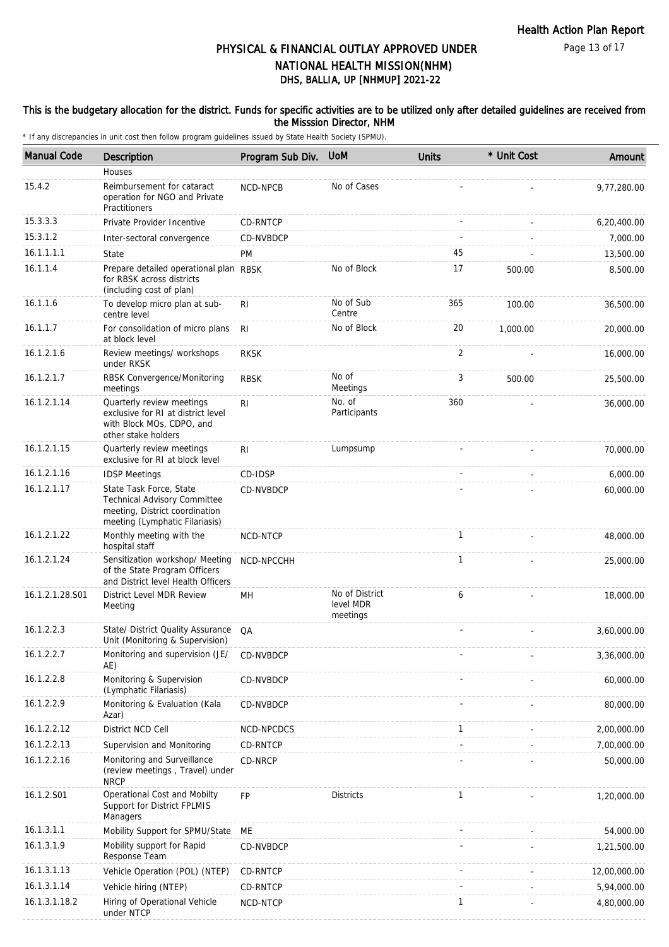Page 13 of 17

# DHS, BALLIA, UP [NHMUP] 2021-22 PHYSICAL & FINANCIAL OUTLAY APPROVED UNDER NATIONAL HEALTH MISSION(NHM)

### This is the budgetary allocation for the district. Funds for specific activities are to be utilized only after detailed guidelines are received from the Misssion Director, NHM

| <b>Manual Code</b> | Description                                                                                                                 | Program Sub Div. | <b>UoM</b>                              | <b>Units</b> | * Unit Cost | Amount       |
|--------------------|-----------------------------------------------------------------------------------------------------------------------------|------------------|-----------------------------------------|--------------|-------------|--------------|
|                    | Houses                                                                                                                      |                  |                                         |              |             |              |
| 15.4.2             | Reimbursement for cataract<br>operation for NGO and Private<br>Practitioners                                                | NCD-NPCB         | No of Cases                             |              |             | 9,77,280.00  |
| 15.3.3.3           | Private Provider Incentive                                                                                                  | CD-RNTCP         |                                         |              |             | 6,20,400.00  |
| 15.3.1.2           | Inter-sectoral convergence                                                                                                  | CD-NVBDCP        |                                         |              |             | 7,000.00     |
| 16.1.1.1.1         | State                                                                                                                       | PM               |                                         | 45           |             | 13,500.00    |
| 16.1.1.4           | Prepare detailed operational plan RBSK<br>for RBSK across districts<br>(including cost of plan)                             |                  | No of Block                             | 17           | 500.00      | 8,500.00     |
| 16.1.1.6           | To develop micro plan at sub-<br>centre level                                                                               | RI               | No of Sub<br>Centre                     | 365          | 100.00      | 36,500.00    |
| 16.1.1.7           | For consolidation of micro plans<br>at block level                                                                          | R <sub>l</sub>   | No of Block                             | 20           | 1,000.00    | 20,000.00    |
| 16.1.2.1.6         | Review meetings/ workshops<br>under RKSK                                                                                    | <b>RKSK</b>      |                                         | 2            |             | 16,000.00    |
| 16.1.2.1.7         | RBSK Convergence/Monitoring<br>meetings                                                                                     | <b>RBSK</b>      | No of<br>Meetings                       | 3            | 500.00      | 25,500.00    |
| 16.1.2.1.14        | Quarterly review meetings<br>exclusive for RI at district level<br>with Block MOs, CDPO, and<br>other stake holders         | R <sub>l</sub>   | No. of<br>Participants                  | 360          |             | 36,000.00    |
| 16.1.2.1.15        | Quarterly review meetings<br>exclusive for RI at block level                                                                | RI               | Lumpsump                                |              |             | 70,000.00    |
| 16.1.2.1.16        | <b>IDSP Meetings</b>                                                                                                        | CD-IDSP          |                                         |              |             | 6,000.00     |
| 16.1.2.1.17        | State Task Force, State<br>Technical Advisory Committee<br>meeting, District coordination<br>meeting (Lymphatic Filariasis) | CD-NVBDCP        |                                         |              |             | 60,000.00    |
| 16.1.2.1.22        | Monthly meeting with the<br>hospital staff                                                                                  | NCD-NTCP         |                                         | $\mathbf{1}$ |             | 48,000.00    |
| 16.1.2.1.24        | Sensitization workshop/ Meeting<br>of the State Program Officers<br>and District level Health Officers                      | NCD-NPCCHH       |                                         | 1            |             | 25,000.00    |
| 16.1.2.1.28.S01    | District Level MDR Review<br>Meeting                                                                                        | MН               | No of District<br>level MDR<br>meetings | 6            |             | 18,000.00    |
| 16.1.2.2.3         | State/ District Quality Assurance<br>Unit (Monitoring & Supervision)                                                        | QA               |                                         |              |             | 3,60,000.00  |
| 16.1.2.2.7         | Monitoring and supervision (JE/<br>AE)                                                                                      | CD-NVBDCP        |                                         |              |             | 3,36,000.00  |
| 16.1.2.2.8         | Monitoring & Supervision<br>(Lymphatic Filariasis)                                                                          | CD-NVBDCP        |                                         |              |             | 60,000.00    |
| 16.1.2.2.9         | Monitoring & Evaluation (Kala<br>Azar)                                                                                      | CD-NVBDCP        |                                         |              |             | 80,000.00    |
| 16.1.2.2.12        | District NCD Cell                                                                                                           | NCD-NPCDCS       |                                         | $\mathbf{1}$ |             | 2,00,000.00  |
| 16.1.2.2.13        | Supervision and Monitoring                                                                                                  | CD-RNTCP         |                                         |              |             | 7,00,000.00  |
| 16.1.2.2.16        | Monitoring and Surveillance<br>(review meetings, Travel) under<br><b>NRCP</b>                                               | CD-NRCP          |                                         |              |             | 50,000.00    |
| 16.1.2.S01         | Operational Cost and Mobilty<br>Support for District FPLMIS<br>Managers                                                     | FP               | <b>Districts</b>                        | 1            |             | 1,20,000.00  |
| 16.1.3.1.1         | Mobility Support for SPMU/State                                                                                             | МE               |                                         |              |             | 54,000.00    |
| 16.1.3.1.9         | Mobility support for Rapid<br>Response Team                                                                                 | CD-NVBDCP        |                                         |              |             | 1,21,500.00  |
| 16.1.3.1.13        | Vehicle Operation (POL) (NTEP)                                                                                              | CD-RNTCP         |                                         |              |             | 12,00,000.00 |
| 16.1.3.1.14        | Vehicle hiring (NTEP)                                                                                                       | CD-RNTCP         |                                         |              |             | 5,94,000.00  |
| 16.1.3.1.18.2      | Hiring of Operational Vehicle<br>under NTCP                                                                                 | NCD-NTCP         |                                         | $\mathbf{1}$ |             | 4,80,000.00  |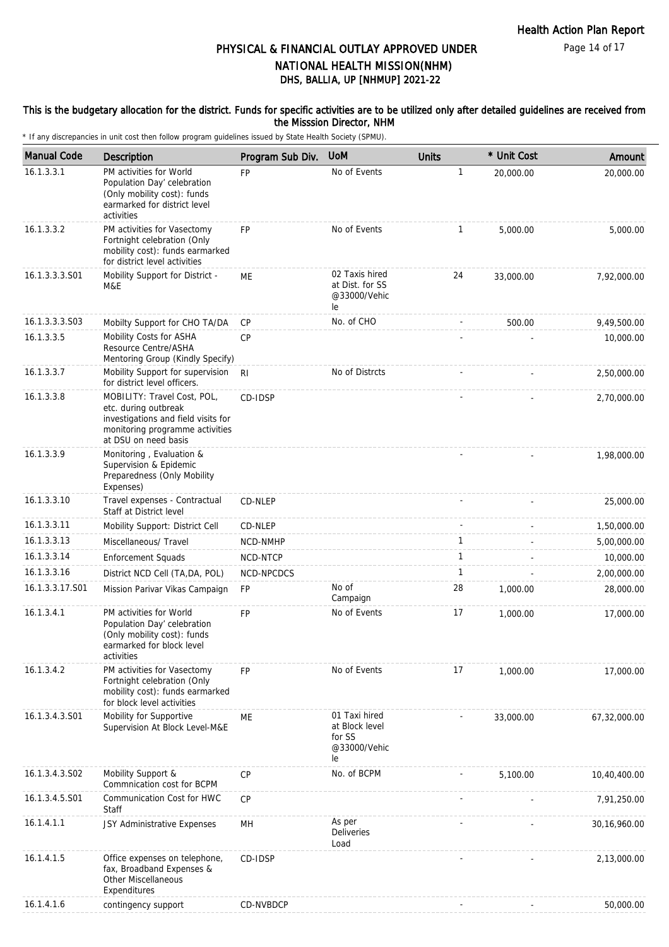Page 14 of 17

# DHS, BALLIA, UP [NHMUP] 2021-22 PHYSICAL & FINANCIAL OUTLAY APPROVED UNDER NATIONAL HEALTH MISSION(NHM)

### This is the budgetary allocation for the district. Funds for specific activities are to be utilized only after detailed guidelines are received from the Misssion Director, NHM

| <b>Manual Code</b> | Description                                                                                                                                           | Program Sub Div. | <b>UoM</b>                                                      | <b>Units</b> | * Unit Cost | Amount         |
|--------------------|-------------------------------------------------------------------------------------------------------------------------------------------------------|------------------|-----------------------------------------------------------------|--------------|-------------|----------------|
| 16.1.3.3.1         | PM activities for World<br>Population Day' celebration<br>(Only mobility cost): funds<br>earmarked for district level<br>activities                   | <b>FP</b>        | No of Events                                                    | $\mathbf{1}$ | 20,000.00   | 20,000.00      |
| 16.1.3.3.2         | PM activities for Vasectomy<br>Fortnight celebration (Only<br>mobility cost): funds earmarked<br>for district level activities                        | <b>FP</b>        | No of Events                                                    | 1            | 5,000.00    | 5,000.00       |
| 16.1.3.3.3.S01     | Mobility Support for District -<br>M&E                                                                                                                | МE               | 02 Taxis hired<br>at Dist. for SS<br>@33000/Vehic<br>le         | 24           | 33,000.00   | 7,92,000.00    |
| 16.1.3.3.3.S03     | Mobilty Support for CHO TA/DA                                                                                                                         | CP               | No. of CHO                                                      |              | 500.00      | 9,49,500.00    |
| 16.1.3.3.5         | Mobility Costs for ASHA<br>Resource Centre/ASHA<br>Mentoring Group (Kindly Specify)                                                                   | <b>CP</b>        |                                                                 |              |             | 10,000.00      |
| 16.1.3.3.7         | Mobility Support for supervision<br>for district level officers.                                                                                      | R <sub>l</sub>   | No of Distrcts                                                  |              |             | 2,50,000.00    |
| 16.1.3.3.8         | MOBILITY: Travel Cost, POL,<br>etc. during outbreak<br>investigations and field visits for<br>monitoring programme activities<br>at DSU on need basis | CD-IDSP          |                                                                 |              |             | 2,70,000.00    |
| 16.1.3.3.9         | Monitoring, Evaluation &<br>Supervision & Epidemic<br>Preparedness (Only Mobility<br>Expenses)                                                        |                  |                                                                 |              |             | 1,98,000.00    |
| 16.1.3.3.10        | Travel expenses - Contractual<br>Staff at District level                                                                                              | CD-NLEP          |                                                                 |              |             | 25,000.00      |
| 16.1.3.3.11        | Mobility Support: District Cell                                                                                                                       | CD-NLEP          |                                                                 |              |             | 1,50,000.00    |
| 16.1.3.3.13        | Miscellaneous/ Travel                                                                                                                                 | NCD-NMHP         |                                                                 | $\mathbf{1}$ |             | 5,00,000.00    |
| 16.1.3.3.14        | <b>Enforcement Squads</b>                                                                                                                             | NCD-NTCP         |                                                                 | $\mathbf{1}$ |             | 10,000.00      |
| 16.1.3.3.16        | District NCD Cell (TA, DA, POL)                                                                                                                       | NCD-NPCDCS       |                                                                 | 1            |             | 2,00,000.00    |
| 16.1.3.3.17.S01    | Mission Parivar Vikas Campaign                                                                                                                        | <b>FP</b>        | No of<br>Campaign                                               | 28           | 1,000.00    | 28,000.00      |
| 16.1.3.4.1         | PM activities for World<br>Population Day' celebration<br>(Only mobility cost): funds<br>earmarked for block level<br>activities                      | FP               | No of Events                                                    | 17           | 1,000.00    | 17,000.00      |
| 16.1.3.4.2         | PM activities for Vasectomy<br>Fortnight celebration (Only<br>mobility cost): funds earmarked<br>for block level activities                           | <b>FP</b>        | No of Events                                                    | 17           | 1,000.00    | 17,000.00      |
| 16.1.3.4.3.S01     | Mobility for Supportive<br>Supervision At Block Level-M&E                                                                                             | МE               | 01 Taxi hired<br>at Block level<br>for SS<br>@33000/Vehic<br>le |              | 33,000.00   | 67,32,000.00   |
| 16.1.3.4.3.S02     | Mobility Support &<br>Commnication cost for BCPM                                                                                                      | CP               | No. of BCPM                                                     |              | 5,100.00    | 10,40,400.00   |
| 16.1.3.4.5.S01     | Communication Cost for HWC<br>Staff                                                                                                                   | CP               |                                                                 |              |             | 7,91,250.00    |
| 16.1.4.1.1         | JSY Administrative Expenses                                                                                                                           | MH               | As per<br>Deliveries<br>Load                                    |              |             | 30, 16, 960.00 |
| 16.1.4.1.5         | Office expenses on telephone,<br>fax, Broadband Expenses &<br>Other Miscellaneous<br>Expenditures                                                     | CD-IDSP          |                                                                 |              |             | 2,13,000.00    |
| 16.1.4.1.6         | contingency support                                                                                                                                   | CD-NVBDCP        |                                                                 | ÷,           |             | 50,000.00      |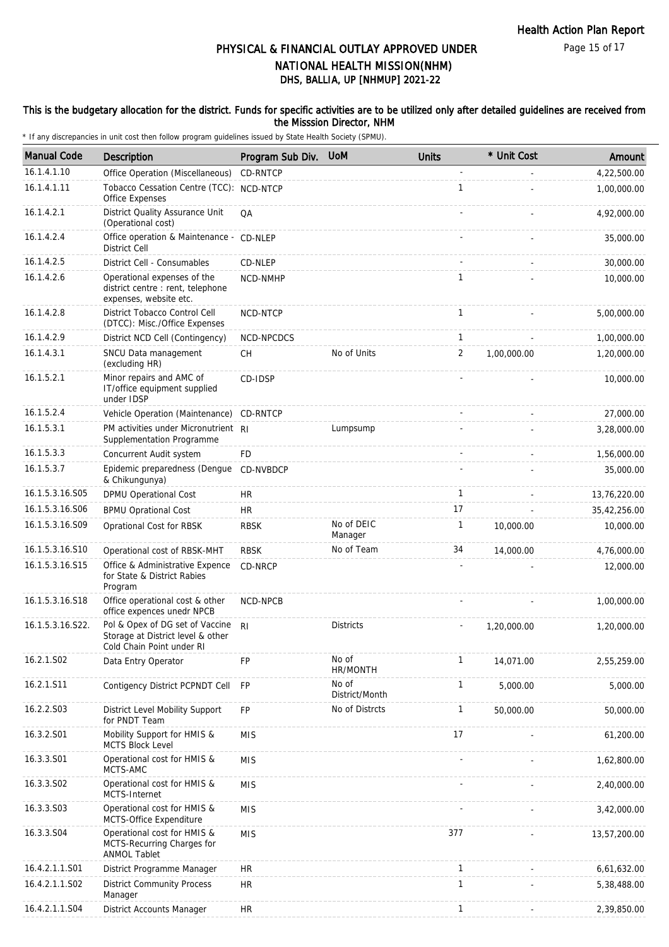### This is the budgetary allocation for the district. Funds for specific activities are to be utilized only after detailed guidelines are received from the Misssion Director, NHM

| <b>Manual Code</b> | Description                                                                                       | Program Sub Div. | <b>UoM</b>              | <b>Units</b> | * Unit Cost | Amount       |
|--------------------|---------------------------------------------------------------------------------------------------|------------------|-------------------------|--------------|-------------|--------------|
| 16.1.4.1.10        | Office Operation (Miscellaneous)                                                                  | CD-RNTCP         |                         |              |             | 4,22,500.00  |
| 16.1.4.1.11        | Tobacco Cessation Centre (TCC): NCD-NTCP<br>Office Expenses                                       |                  |                         | 1            |             | 1,00,000.00  |
| 16.1.4.2.1         | District Quality Assurance Unit<br>(Operational cost)                                             | QA               |                         |              |             | 4,92,000.00  |
| 16.1.4.2.4         | Office operation & Maintenance - CD-NLEP<br><b>District Cell</b>                                  |                  |                         |              |             | 35,000.00    |
| 16.1.4.2.5         | District Cell - Consumables                                                                       | CD-NLEP          |                         |              |             | 30,000.00    |
| 16.1.4.2.6         | Operational expenses of the<br>district centre : rent, telephone<br>expenses, website etc.        | NCD-NMHP         |                         | 1            |             | 10,000.00    |
| 16.1.4.2.8         | District Tobacco Control Cell<br>(DTCC): Misc./Office Expenses                                    | NCD-NTCP         |                         | $\mathbf{1}$ |             | 5,00,000.00  |
| 16.1.4.2.9         | District NCD Cell (Contingency)                                                                   | NCD-NPCDCS       |                         | $\mathbf{1}$ |             | 1,00,000.00  |
| 16.1.4.3.1         | SNCU Data management<br>(excluding HR)                                                            | <b>CH</b>        | No of Units             | 2            | 1,00,000.00 | 1,20,000.00  |
| 16.1.5.2.1         | Minor repairs and AMC of<br>IT/office equipment supplied<br>under IDSP                            | CD-IDSP          |                         |              |             | 10,000.00    |
| 16.1.5.2.4         | Vehicle Operation (Maintenance)                                                                   | CD-RNTCP         |                         |              |             | 27,000.00    |
| 16.1.5.3.1         | PM activities under Micronutrient RI<br>Supplementation Programme                                 |                  | Lumpsump                |              |             | 3,28,000.00  |
| 16.1.5.3.3         | Concurrent Audit system                                                                           | <b>FD</b>        |                         |              |             | 1,56,000.00  |
| 16.1.5.3.7         | Epidemic preparedness (Dengue CD-NVBDCP<br>& Chikungunya)                                         |                  |                         |              |             | 35,000.00    |
| 16.1.5.3.16.S05    | DPMU Operational Cost                                                                             | <b>HR</b>        |                         | $\mathbf{1}$ |             | 13,76,220.00 |
| 16.1.5.3.16.S06    | <b>BPMU Oprational Cost</b>                                                                       | <b>HR</b>        |                         | 17           |             | 35,42,256.00 |
| 16.1.5.3.16.S09    | Oprational Cost for RBSK                                                                          | <b>RBSK</b>      | No of DEIC<br>Manager   | 1            | 10,000.00   | 10,000.00    |
| 16.1.5.3.16.S10    | Operational cost of RBSK-MHT                                                                      | <b>RBSK</b>      | No of Team              | 34           | 14,000.00   | 4,76,000.00  |
| 16.1.5.3.16.S15    | Office & Administrative Expence<br>for State & District Rabies<br>Program                         | CD-NRCP          |                         |              |             | 12,000.00    |
| 16.1.5.3.16.S18    | Office operational cost & other<br>office expences unedr NPCB                                     | NCD-NPCB         |                         |              |             | 1,00,000.00  |
| 16.1.5.3.16.S22.   | Pol & Opex of DG set of Vaccine<br>Storage at District level & other<br>Cold Chain Point under RI | RI.              | <b>Districts</b>        |              | 1,20,000.00 | 1,20,000.00  |
| 16.2.1.S02         | Data Entry Operator                                                                               | FP               | No of<br>HR/MONTH       | $\mathbf{1}$ | 14,071.00   | 2,55,259.00  |
| 16.2.1.S11         | Contigency District PCPNDT Cell                                                                   | FP               | No of<br>District/Month | 1            | 5,000.00    | 5,000.00     |
| 16.2.2.S03         | District Level Mobility Support<br>for PNDT Team                                                  | FP               | No of Distrcts          | 1            | 50,000.00   | 50,000.00    |
| 16.3.2.S01         | Mobility Support for HMIS &<br><b>MCTS Block Level</b>                                            | <b>MIS</b>       |                         | 17           |             | 61,200.00    |
| 16.3.3.S01         | Operational cost for HMIS &<br>MCTS-AMC                                                           | <b>MIS</b>       |                         |              |             | 1,62,800.00  |
| 16.3.3.S02         | Operational cost for HMIS &<br>MCTS-Internet                                                      | <b>MIS</b>       |                         |              |             | 2,40,000.00  |
| 16.3.3.S03         | Operational cost for HMIS &<br>MCTS-Office Expenditure                                            | <b>MIS</b>       |                         |              |             | 3,42,000.00  |
| 16.3.3.S04         | Operational cost for HMIS &<br>MCTS-Recurring Charges for<br><b>ANMOL Tablet</b>                  | <b>MIS</b>       |                         | 377          |             | 13,57,200.00 |
| 16.4.2.1.1.S01     | District Programme Manager                                                                        | <b>HR</b>        |                         | $\mathbf{1}$ |             | 6,61,632.00  |
| 16.4.2.1.1.S02     | <b>District Community Process</b><br>Manager                                                      | <b>HR</b>        |                         | $\mathbf{1}$ |             | 5,38,488.00  |
| 16.4.2.1.1.S04     | District Accounts Manager                                                                         | <b>HR</b>        |                         | $\mathbf{1}$ |             | 2,39,850.00  |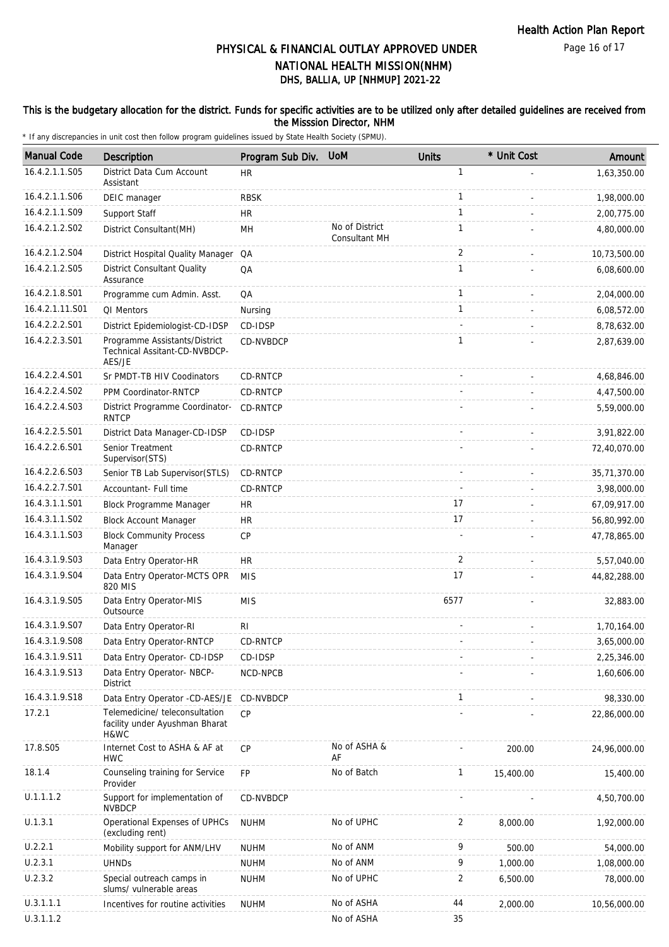### This is the budgetary allocation for the district. Funds for specific activities are to be utilized only after detailed guidelines are received from the Misssion Director, NHM

| <b>Manual Code</b> | Description                                                              | Program Sub Div. | <b>UoM</b>                      | <b>Units</b>   | * Unit Cost | Amount       |
|--------------------|--------------------------------------------------------------------------|------------------|---------------------------------|----------------|-------------|--------------|
| 16.4.2.1.1.S05     | District Data Cum Account<br>Assistant                                   | <b>HR</b>        |                                 | $\mathbf{1}$   |             | 1,63,350.00  |
| 16.4.2.1.1.S06     | DEIC manager                                                             | <b>RBSK</b>      |                                 | $\mathbf{1}$   |             | 1,98,000.00  |
| 16.4.2.1.1.S09     | Support Staff                                                            | <b>HR</b>        |                                 | $\mathbf{1}$   |             | 2,00,775.00  |
| 16.4.2.1.2.S02     | District Consultant(MH)                                                  | MH               | No of District<br>Consultant MH | 1              |             | 4,80,000.00  |
| 16.4.2.1.2.S04     | District Hospital Quality Manager                                        | QA               |                                 | $\overline{2}$ |             | 10,73,500.00 |
| 16.4.2.1.2.S05     | <b>District Consultant Quality</b><br>Assurance                          | QA               |                                 | $\mathbf{1}$   |             | 6,08,600.00  |
| 16.4.2.1.8.S01     | Programme cum Admin. Asst.                                               | QA               |                                 | $\mathbf{1}$   |             | 2,04,000.00  |
| 16.4.2.1.11.S01    | QI Mentors                                                               | Nursing          |                                 | $\mathbf{1}$   |             | 6,08,572.00  |
| 16.4.2.2.2.S01     | District Epidemiologist-CD-IDSP                                          | CD-IDSP          |                                 |                |             | 8,78,632.00  |
| 16.4.2.2.3.S01     | Programme Assistants/District<br>Technical Assitant-CD-NVBDCP-<br>AES/JE | CD-NVBDCP        |                                 | $\mathbf{1}$   |             | 2,87,639.00  |
| 16.4.2.2.4.S01     | Sr PMDT-TB HIV Coodinators                                               | CD-RNTCP         |                                 |                |             | 4,68,846.00  |
| 16.4.2.2.4.S02     | PPM Coordinator-RNTCP                                                    | CD-RNTCP         |                                 |                |             | 4,47,500.00  |
| 16.4.2.2.4.S03     | District Programme Coordinator-<br><b>RNTCP</b>                          | CD-RNTCP         |                                 |                |             | 5,59,000.00  |
| 16.4.2.2.5.S01     | District Data Manager-CD-IDSP                                            | CD-IDSP          |                                 |                |             | 3,91,822.00  |
| 16.4.2.2.6.S01     | Senior Treatment<br>Supervisor(STS)                                      | CD-RNTCP         |                                 |                |             | 72,40,070.00 |
| 16.4.2.2.6.S03     | Senior TB Lab Supervisor (STLS)                                          | CD-RNTCP         |                                 |                |             | 35,71,370.00 |
| 16.4.2.2.7.S01     | Accountant- Full time                                                    | CD-RNTCP         |                                 | ÷.             |             | 3,98,000.00  |
| 16.4.3.1.1.S01     | Block Programme Manager                                                  | <b>HR</b>        |                                 | 17             |             | 67,09,917.00 |
| 16.4.3.1.1.S02     | <b>Block Account Manager</b>                                             | <b>HR</b>        |                                 | 17             |             | 56,80,992.00 |
| 16.4.3.1.1.S03     | <b>Block Community Process</b><br>Manager                                | <b>CP</b>        |                                 |                |             | 47,78,865.00 |
| 16.4.3.1.9.S03     | Data Entry Operator-HR                                                   | <b>HR</b>        |                                 | 2              |             | 5,57,040.00  |
| 16.4.3.1.9.S04     | Data Entry Operator-MCTS OPR<br>820 MIS                                  | <b>MIS</b>       |                                 | 17             |             | 44,82,288.00 |
| 16.4.3.1.9.S05     | Data Entry Operator-MIS<br>Outsource                                     | <b>MIS</b>       |                                 | 6577           |             | 32,883.00    |
| 16.4.3.1.9.S07     | Data Entry Operator-RI                                                   | RI               |                                 |                |             | 1,70,164.00  |
| 16.4.3.1.9.S08     | Data Entry Operator-RNTCP                                                | CD-RNTCP         |                                 |                |             | 3,65,000.00  |
| 16.4.3.1.9.S11     | Data Entry Operator- CD-IDSP                                             | CD-IDSP          |                                 |                |             | 2,25,346.00  |
| 16.4.3.1.9.S13     | Data Entry Operator- NBCP-<br><b>District</b>                            | NCD-NPCB         |                                 |                |             | 1,60,606.00  |
| 16.4.3.1.9.S18     | Data Entry Operator -CD-AES/JE                                           | CD-NVBDCP        |                                 | 1              |             | 98,330.00    |
| 17.2.1             | Telemedicine/ teleconsultation<br>facility under Ayushman Bharat<br>H&WC | <b>CP</b>        |                                 |                |             | 22,86,000.00 |
| 17.8.S05           | Internet Cost to ASHA & AF at<br><b>HWC</b>                              | <b>CP</b>        | No of ASHA &<br>AF              |                | 200.00      | 24,96,000.00 |
| 18.1.4             | Counseling training for Service<br>Provider                              | FP               | No of Batch                     | $\mathbf{1}$   | 15,400.00   | 15,400.00    |
| U.1.1.1.2          | Support for implementation of<br><b>NVBDCP</b>                           | CD-NVBDCP        |                                 |                |             | 4,50,700.00  |
| U.1.3.1            | Operational Expenses of UPHCs<br>(excluding rent)                        | <b>NUHM</b>      | No of UPHC                      | 2              | 8,000.00    | 1,92,000.00  |
| U.2.2.1            | Mobility support for ANM/LHV                                             | <b>NUHM</b>      | No of ANM                       | 9              | 500.00      | 54,000.00    |
| U.2.3.1            | <b>UHNDs</b>                                                             | <b>NUHM</b>      | No of ANM                       | 9              | 1,000.00    | 1,08,000.00  |
| U.2.3.2            | Special outreach camps in<br>slums/ vulnerable areas                     | <b>NUHM</b>      | No of UPHC                      | 2              | 6,500.00    | 78,000.00    |
| U.3.1.1.1          | Incentives for routine activities                                        | <b>NUHM</b>      | No of ASHA                      | 44             | 2,000.00    | 10,56,000.00 |
| U.3.1.1.2          |                                                                          |                  | No of ASHA                      | 35             |             |              |